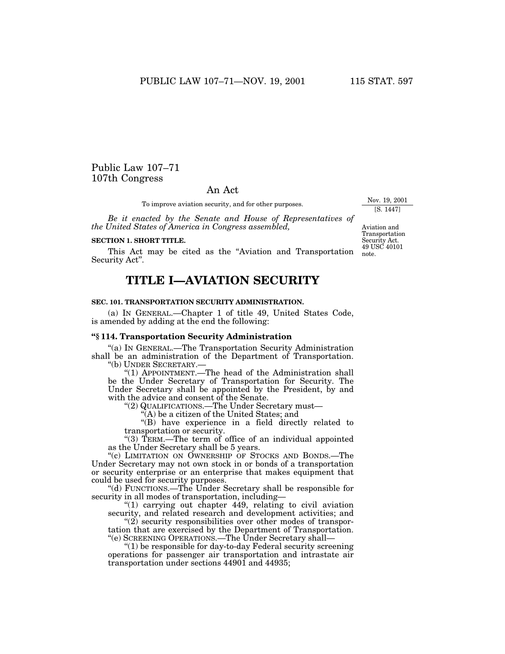# Public Law 107–71 107th Congress

## An Act

To improve aviation security, and for other purposes.

*Be it enacted by the Senate and House of Representatives of the United States of America in Congress assembled,*

## **SECTION 1. SHORT TITLE.**

This Act may be cited as the ''Aviation and Transportation Security Act''.

# **TITLE I—AVIATION SECURITY**

## **SEC. 101. TRANSPORTATION SECURITY ADMINISTRATION.**

(a) IN GENERAL.—Chapter 1 of title 49, United States Code, is amended by adding at the end the following:

## **''§ 114. Transportation Security Administration**

''(a) IN GENERAL.—The Transportation Security Administration shall be an administration of the Department of Transportation. ''(b) UNDER SECRETARY.—

''(1) APPOINTMENT.—The head of the Administration shall be the Under Secretary of Transportation for Security. The Under Secretary shall be appointed by the President, by and with the advice and consent of the Senate.

''(2) QUALIFICATIONS.—The Under Secretary must—

 $(A)$  be a citizen of the United States; and

 $'(B)$  have experience in a field directly related to transportation or security.

"(3) TERM.—The term of office of an individual appointed as the Under Secretary shall be 5 years.

"(c) LIMITATION ON OWNERSHIP OF STOCKS AND BONDS.—The Under Secretary may not own stock in or bonds of a transportation or security enterprise or an enterprise that makes equipment that could be used for security purposes.

''(d) FUNCTIONS.—The Under Secretary shall be responsible for security in all modes of transportation, including—

''(1) carrying out chapter 449, relating to civil aviation security, and related research and development activities; and

 $''(2)$  security responsibilities over other modes of transportation that are exercised by the Department of Transportation.

''(e) SCREENING OPERATIONS.—The Under Secretary shall—

''(1) be responsible for day-to-day Federal security screening operations for passenger air transportation and intrastate air transportation under sections 44901 and 44935;

49 USC 40101 note. Aviation and Transportation Security Act.

Nov. 19, 2001 [S. 1447]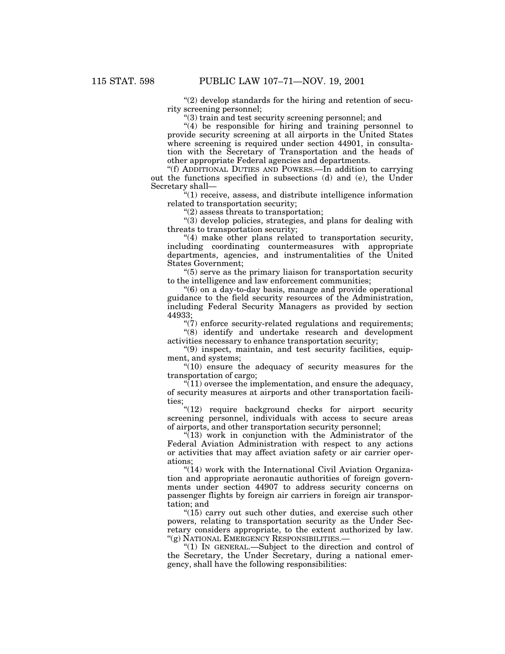" $(2)$  develop standards for the hiring and retention of security screening personnel;

 $(3)$  train and test security screening personnel; and

"(4) be responsible for hiring and training personnel to provide security screening at all airports in the United States where screening is required under section 44901, in consultation with the Secretary of Transportation and the heads of other appropriate Federal agencies and departments.

''(f) ADDITIONAL DUTIES AND POWERS.—In addition to carrying out the functions specified in subsections (d) and (e), the Under Secretary shall—

 $\tilde{f}(1)$  receive, assess, and distribute intelligence information related to transportation security;

''(2) assess threats to transportation;

''(3) develop policies, strategies, and plans for dealing with threats to transportation security;

"(4) make other plans related to transportation security, including coordinating countermeasures with appropriate departments, agencies, and instrumentalities of the United States Government;

''(5) serve as the primary liaison for transportation security to the intelligence and law enforcement communities;

''(6) on a day-to-day basis, manage and provide operational guidance to the field security resources of the Administration, including Federal Security Managers as provided by section 44933;

''(7) enforce security-related regulations and requirements;

"(8) identify and undertake research and development activities necessary to enhance transportation security;

''(9) inspect, maintain, and test security facilities, equipment, and systems;

"(10) ensure the adequacy of security measures for the transportation of cargo;

 $\sqrt[n]{(11)}$  oversee the implementation, and ensure the adequacy, of security measures at airports and other transportation facilities;

''(12) require background checks for airport security screening personnel, individuals with access to secure areas of airports, and other transportation security personnel;

 $\sqrt{13}$ ) work in conjunction with the Administrator of the Federal Aviation Administration with respect to any actions or activities that may affect aviation safety or air carrier operations;

"(14) work with the International Civil Aviation Organization and appropriate aeronautic authorities of foreign governments under section 44907 to address security concerns on passenger flights by foreign air carriers in foreign air transportation; and

 $\frac{1}{15}$  carry out such other duties, and exercise such other powers, relating to transportation security as the Under Secretary considers appropriate, to the extent authorized by law. ''(g) NATIONAL EMERGENCY RESPONSIBILITIES.—

''(1) IN GENERAL.—Subject to the direction and control of the Secretary, the Under Secretary, during a national emergency, shall have the following responsibilities: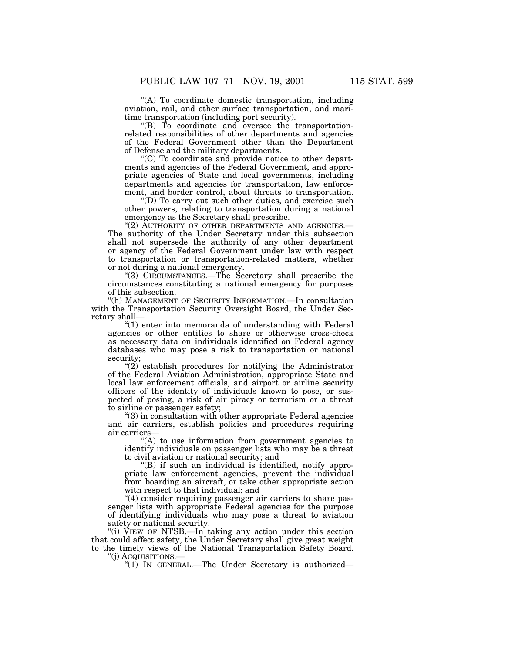aviation, rail, and other surface transportation, and maritime transportation (including port security).

''(B) To coordinate and oversee the transportationrelated responsibilities of other departments and agencies of the Federal Government other than the Department of Defense and the military departments.

''(C) To coordinate and provide notice to other departments and agencies of the Federal Government, and appropriate agencies of State and local governments, including departments and agencies for transportation, law enforcement, and border control, about threats to transportation.

''(D) To carry out such other duties, and exercise such other powers, relating to transportation during a national emergency as the Secretary shall prescribe.

"(2) AUTHORITY OF OTHER DEPARTMENTS AND AGENCIES.-The authority of the Under Secretary under this subsection shall not supersede the authority of any other department or agency of the Federal Government under law with respect to transportation or transportation-related matters, whether or not during a national emergency.

''(3) CIRCUMSTANCES.—The Secretary shall prescribe the circumstances constituting a national emergency for purposes of this subsection.

''(h) MANAGEMENT OF SECURITY INFORMATION.—In consultation with the Transportation Security Oversight Board, the Under Secretary shall—

 $(1)$  enter into memoranda of understanding with Federal agencies or other entities to share or otherwise cross-check as necessary data on individuals identified on Federal agency databases who may pose a risk to transportation or national security;

 $(2)$  establish procedures for notifying the Administrator of the Federal Aviation Administration, appropriate State and local law enforcement officials, and airport or airline security officers of the identity of individuals known to pose, or suspected of posing, a risk of air piracy or terrorism or a threat to airline or passenger safety;

''(3) in consultation with other appropriate Federal agencies and air carriers, establish policies and procedures requiring air carriers—

 $f(A)$  to use information from government agencies to identify individuals on passenger lists who may be a threat to civil aviation or national security; and

''(B) if such an individual is identified, notify appropriate law enforcement agencies, prevent the individual from boarding an aircraft, or take other appropriate action with respect to that individual; and

"(4) consider requiring passenger air carriers to share passenger lists with appropriate Federal agencies for the purpose of identifying individuals who may pose a threat to aviation safety or national security.

''(i) VIEW OF NTSB.—In taking any action under this section that could affect safety, the Under Secretary shall give great weight to the timely views of the National Transportation Safety Board.

''(j) ACQUISITIONS.—

''(1) IN GENERAL.—The Under Secretary is authorized—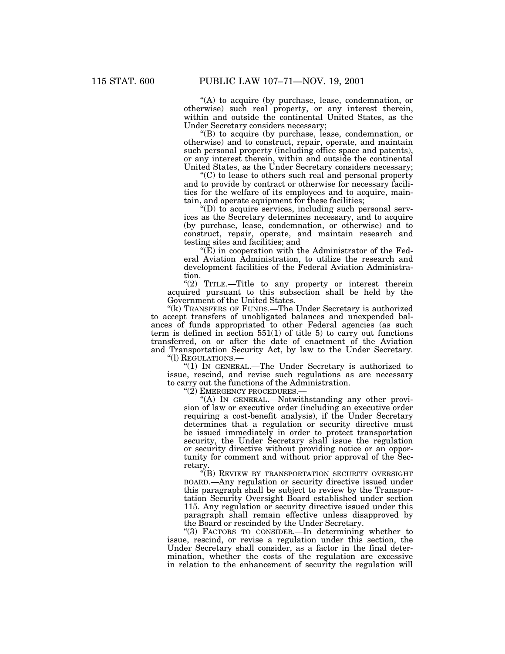''(A) to acquire (by purchase, lease, condemnation, or otherwise) such real property, or any interest therein, within and outside the continental United States, as the Under Secretary considers necessary;

''(B) to acquire (by purchase, lease, condemnation, or otherwise) and to construct, repair, operate, and maintain such personal property (including office space and patents), or any interest therein, within and outside the continental United States, as the Under Secretary considers necessary;

''(C) to lease to others such real and personal property and to provide by contract or otherwise for necessary facilities for the welfare of its employees and to acquire, maintain, and operate equipment for these facilities;

''(D) to acquire services, including such personal services as the Secretary determines necessary, and to acquire (by purchase, lease, condemnation, or otherwise) and to construct, repair, operate, and maintain research and testing sites and facilities; and

 $\mathrm{H}(\mathrm{E})$  in cooperation with the Administrator of the Federal Aviation Administration, to utilize the research and development facilities of the Federal Aviation Administration.

" $(2)$  TITLE.—Title to any property or interest therein acquired pursuant to this subsection shall be held by the Government of the United States.

"(k) TRANSFERS OF FUNDS.—The Under Secretary is authorized to accept transfers of unobligated balances and unexpended balances of funds appropriated to other Federal agencies (as such term is defined in section 551(1) of title 5) to carry out functions transferred, on or after the date of enactment of the Aviation and Transportation Security Act, by law to the Under Secretary.

''(l) REGULATIONS.—

''(1) IN GENERAL.—The Under Secretary is authorized to issue, rescind, and revise such regulations as are necessary to carry out the functions of the Administration.

"(2) EMERGENCY PROCEDURES.-

''(A) IN GENERAL.—Notwithstanding any other provision of law or executive order (including an executive order requiring a cost-benefit analysis), if the Under Secretary determines that a regulation or security directive must be issued immediately in order to protect transportation security, the Under Secretary shall issue the regulation or security directive without providing notice or an opportunity for comment and without prior approval of the Sec-

retary.<br>
"(B) REVIEW BY TRANSPORTATION SECURITY OVERSIGHT" BOARD.—Any regulation or security directive issued under this paragraph shall be subject to review by the Transportation Security Oversight Board established under section 115. Any regulation or security directive issued under this paragraph shall remain effective unless disapproved by the Board or rescinded by the Under Secretary.

''(3) FACTORS TO CONSIDER.—In determining whether to issue, rescind, or revise a regulation under this section, the Under Secretary shall consider, as a factor in the final determination, whether the costs of the regulation are excessive in relation to the enhancement of security the regulation will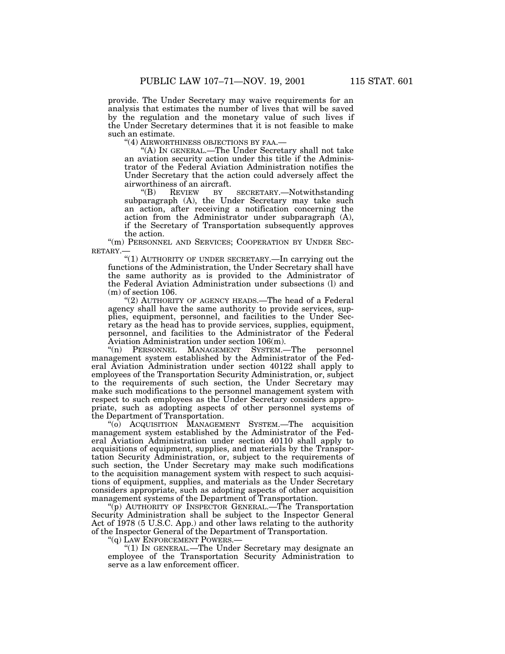provide. The Under Secretary may waive requirements for an analysis that estimates the number of lives that will be saved by the regulation and the monetary value of such lives if the Under Secretary determines that it is not feasible to make such an estimate.

''(4) AIRWORTHINESS OBJECTIONS BY FAA.—

''(A) IN GENERAL.—The Under Secretary shall not take an aviation security action under this title if the Administrator of the Federal Aviation Administration notifies the Under Secretary that the action could adversely affect the airworthiness of an aircraft.<br>
" $(B)$  REVIEW BY

''(B) REVIEW BY SECRETARY.—Notwithstanding subparagraph (A), the Under Secretary may take such an action, after receiving a notification concerning the action from the Administrator under subparagraph (A), if the Secretary of Transportation subsequently approves the action.

"(m) PERSONNEL AND SERVICES; COOPERATION BY UNDER SEC-RETARY.—

"(1) AUTHORITY OF UNDER SECRETARY.—In carrying out the functions of the Administration, the Under Secretary shall have the same authority as is provided to the Administrator of the Federal Aviation Administration under subsections (l) and

(m) of section 106.<br>"(2) AUTHORITY OF AGENCY HEADS.—The head of a Federal agency shall have the same authority to provide services, supplies, equipment, personnel, and facilities to the Under Secretary as the head has to provide services, supplies, equipment, personnel, and facilities to the Administrator of the Federal Aviation Administration under section 106(m).

''(n) PERSONNEL MANAGEMENT SYSTEM.—The personnel management system established by the Administrator of the Federal Aviation Administration under section 40122 shall apply to employees of the Transportation Security Administration, or, subject to the requirements of such section, the Under Secretary may make such modifications to the personnel management system with respect to such employees as the Under Secretary considers appropriate, such as adopting aspects of other personnel systems of the Department of Transportation.<br>"(o) ACQUISITION MANAGEMENT SYSTEM.—The acquisition

management system established by the Administrator of the Federal Aviation Administration under section 40110 shall apply to acquisitions of equipment, supplies, and materials by the Transportation Security Administration, or, subject to the requirements of such section, the Under Secretary may make such modifications to the acquisition management system with respect to such acquisitions of equipment, supplies, and materials as the Under Secretary considers appropriate, such as adopting aspects of other acquisition management systems of the Department of Transportation.

''(p) AUTHORITY OF INSPECTOR GENERAL.—The Transportation Security Administration shall be subject to the Inspector General Act of 1978 (5 U.S.C. App.) and other laws relating to the authority of the Inspector General of the Department of Transportation.<br>"(q) LAW ENFORCEMENT POWERS.—

"(1) IN GENERAL.— The Under Secretary may designate an employee of the Transportation Security Administration to serve as a law enforcement officer.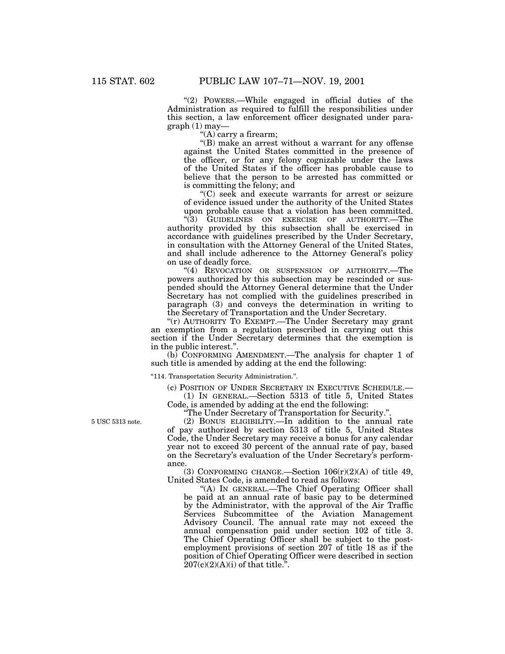"(2) POWERS.—While engaged in official duties of the Administration as required to fulfill the responsibilities under this section, a law enforcement officer designated under paragraph (1) may—

''(A) carry a firearm;

''(B) make an arrest without a warrant for any offense against the United States committed in the presence of the officer, or for any felony cognizable under the laws of the United States if the officer has probable cause to believe that the person to be arrested has committed or is committing the felony; and

 $(C)$  seek and execute warrants for arrest or seizure of evidence issued under the authority of the United States upon probable cause that a violation has been committed.

''(3) GUIDELINES ON EXERCISE OF AUTHORITY.—The authority provided by this subsection shall be exercised in accordance with guidelines prescribed by the Under Secretary, in consultation with the Attorney General of the United States, and shall include adherence to the Attorney General's policy on use of deadly force.

"(4) REVOCATION OR SUSPENSION OF AUTHORITY.-The powers authorized by this subsection may be rescinded or suspended should the Attorney General determine that the Under Secretary has not complied with the guidelines prescribed in paragraph (3) and conveys the determination in writing to the Secretary of Transportation and the Under Secretary.

"(r) AUTHORITY TO EXEMPT.—The Under Secretary may grant an exemption from a regulation prescribed in carrying out this section if the Under Secretary determines that the exemption is in the public interest.''.

(b) CONFORMING AMENDMENT.—The analysis for chapter 1 of such title is amended by adding at the end the following:

''114. Transportation Security Administration.''.

(c) POSITION OF UNDER SECRETARY IN EXECUTIVE SCHEDULE.—

(1) IN GENERAL.—Section 5313 of title 5, United States

Code, is amended by adding at the end the following:

''The Under Secretary of Transportation for Security.''.

(2) BONUS ELIGIBILITY.—In addition to the annual rate of pay authorized by section 5313 of title 5, United States Code, the Under Secretary may receive a bonus for any calendar year not to exceed 30 percent of the annual rate of pay, based on the Secretary's evaluation of the Under Secretary's performance.

(3) CONFORMING CHANGE.—Section  $106(r)(2)(A)$  of title 49, United States Code, is amended to read as follows:

''(A) IN GENERAL.—The Chief Operating Officer shall be paid at an annual rate of basic pay to be determined by the Administrator, with the approval of the Air Traffic Services Subcommittee of the Aviation Management Advisory Council. The annual rate may not exceed the annual compensation paid under section 102 of title 3. The Chief Operating Officer shall be subject to the postemployment provisions of section 207 of title 18 as if the position of Chief Operating Officer were described in section  $207(c)(2)(A)(i)$  of that title.".

5 USC 5313 note.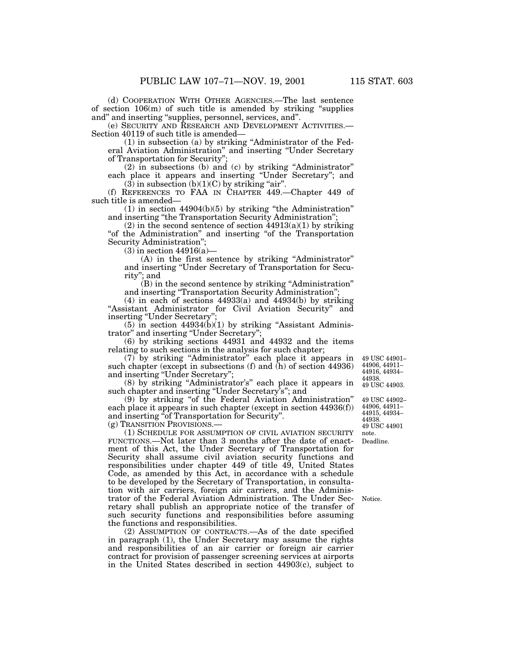(d) COOPERATION WITH OTHER AGENCIES.—The last sentence of section  $106(m)$  of such title is amended by striking "supplies" and'' and inserting ''supplies, personnel, services, and''.

(e) SECURITY AND RESEARCH AND DEVELOPMENT ACTIVITIES.— Section 40119 of such title is amended—

(1) in subsection (a) by striking ''Administrator of the Federal Aviation Administration'' and inserting ''Under Secretary of Transportation for Security'';

(2) in subsections (b) and (c) by striking ''Administrator'' each place it appears and inserting "Under Secretary"; and  $(3)$  in subsection  $(b)(1)(C)$  by striking "air".

(f) REFERENCES TO FAA IN CHAPTER 449.—Chapter 449 of such title is amended—

 $(1)$  in section  $44904(b)(5)$  by striking "the Administration" and inserting ''the Transportation Security Administration'';

(2) in the second sentence of section  $44913(a)(1)$  by striking "of the Administration" and inserting "of the Transportation" Security Administration'';

 $(3)$  in section 44916(a)–

(A) in the first sentence by striking ''Administrator'' and inserting ''Under Secretary of Transportation for Security''; and

(B) in the second sentence by striking ''Administration'' and inserting ''Transportation Security Administration'';

(4) in each of sections 44933(a) and 44934(b) by striking "Assistant Administrator for Civil Aviation Security" and inserting "Under Secretary"

(5) in section  $44934(b)(1)$  by striking "Assistant Administrator'' and inserting ''Under Secretary'';

(6) by striking sections 44931 and 44932 and the items relating to such sections in the analysis for such chapter;

(7) by striking ''Administrator'' each place it appears in such chapter (except in subsections (f) and (h) of section 44936) and inserting ''Under Secretary'';

(8) by striking ''Administrator's'' each place it appears in such chapter and inserting ''Under Secretary's''; and

(9) by striking ''of the Federal Aviation Administration'' each place it appears in such chapter (except in section 44936(f)) and inserting ''of Transportation for Security''.

(g) TRANSITION PROVISIONS.— (1) SCHEDULE FOR ASSUMPTION OF CIVIL AVIATION SECURITY FUNCTIONS.—Not later than 3 months after the date of enactment of this Act, the Under Secretary of Transportation for Security shall assume civil aviation security functions and responsibilities under chapter 449 of title 49, United States Code, as amended by this Act, in accordance with a schedule to be developed by the Secretary of Transportation, in consultation with air carriers, foreign air carriers, and the Administrator of the Federal Aviation Administration. The Under Secretary shall publish an appropriate notice of the transfer of such security functions and responsibilities before assuming the functions and responsibilities.

(2) ASSUMPTION OF CONTRACTS.—As of the date specified in paragraph (1), the Under Secretary may assume the rights and responsibilities of an air carrier or foreign air carrier contract for provision of passenger screening services at airports in the United States described in section 44903(c), subject to

49 USC 44902– 49 USC 44903. 44906, 44911– 44916, 44934– 44938.

49 USC 44901–

49 USC 44901 note. 44906, 44911– 44915, 44934– 44938.

Deadline.

Notice.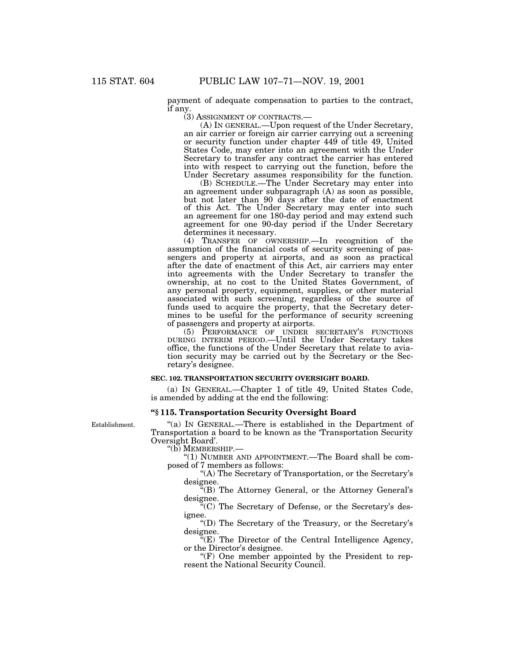payment of adequate compensation to parties to the contract, if any.

(3) ASSIGNMENT OF CONTRACTS.—

(A) IN GENERAL.—Upon request of the Under Secretary, an air carrier or foreign air carrier carrying out a screening or security function under chapter 449 of title 49, United States Code, may enter into an agreement with the Under Secretary to transfer any contract the carrier has entered into with respect to carrying out the function, before the Under Secretary assumes responsibility for the function.

(B) SCHEDULE.—The Under Secretary may enter into an agreement under subparagraph (A) as soon as possible, but not later than 90 days after the date of enactment of this Act. The Under Secretary may enter into such an agreement for one 180-day period and may extend such agreement for one 90-day period if the Under Secretary determines it necessary.

(4) TRANSFER OF OWNERSHIP.—In recognition of the assumption of the financial costs of security screening of passengers and property at airports, and as soon as practical after the date of enactment of this Act, air carriers may enter into agreements with the Under Secretary to transfer the ownership, at no cost to the United States Government, of any personal property, equipment, supplies, or other material associated with such screening, regardless of the source of funds used to acquire the property, that the Secretary determines to be useful for the performance of security screening of passengers and property at airports.

(5) PERFORMANCE OF UNDER SECRETARY'S FUNCTIONS DURING INTERIM PERIOD.—Until the Under Secretary takes office, the functions of the Under Secretary that relate to aviation security may be carried out by the Secretary or the Secretary's designee.

#### **SEC. 102. TRANSPORTATION SECURITY OVERSIGHT BOARD.**

(a) IN GENERAL.—Chapter 1 of title 49, United States Code, is amended by adding at the end the following:

## **''§ 115. Transportation Security Oversight Board**

''(a) IN GENERAL.—There is established in the Department of Transportation a board to be known as the 'Transportation Security Oversight Board'.<br>"(b) MEMBERSHIP.-

" $(1)$  NUMBER AND APPOINTMENT.—The Board shall be composed of 7 members as follows:<br>"(A) The Secretary of Transportation, or the Secretary's

designee.<br>
"(B) The Attorney General, or the Attorney General's designee.

''(C) The Secretary of Defense, or the Secretary's designee.

''(D) The Secretary of the Treasury, or the Secretary's designee.

 $\sqrt[a]{(E)}$  The Director of the Central Intelligence Agency, or the Director's designee.

" $(F)$  One member appointed by the President to represent the National Security Council.

Establishment.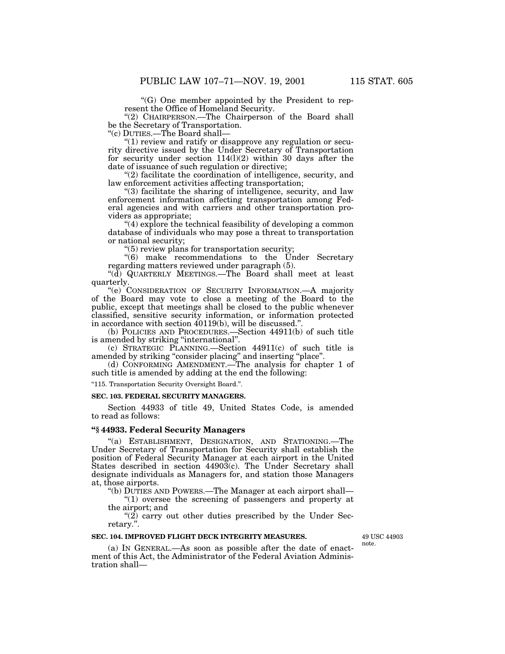$C(G)$  One member appointed by the President to represent the Office of Homeland Security.

''(2) CHAIRPERSON.—The Chairperson of the Board shall be the Secretary of Transportation.<br>"(c) DUTIES.—The Board shall—

" $(1)$  review and ratify or disapprove any regulation or security directive issued by the Under Secretary of Transportation for security under section  $114(1)(2)$  within 30 days after the date of issuance of such regulation or directive;

" $(2)$  facilitate the coordination of intelligence, security, and law enforcement activities affecting transportation;

 $\lq$ (3) facilitate the sharing of intelligence, security, and law enforcement information affecting transportation among Federal agencies and with carriers and other transportation providers as appropriate;<br>"(4) explore the technical feasibility of developing a common

database of individuals who may pose a threat to transportation or national security; ''(5) review plans for transportation security;

''(6) make recommendations to the Under Secretary regarding matters reviewed under paragraph (5).

''(d) QUARTERLY MEETINGS.—The Board shall meet at least quarterly.

"(e) CONSIDERATION OF SECURITY INFORMATION.—A majority of the Board may vote to close a meeting of the Board to the public, except that meetings shall be closed to the public whenever classified, sensitive security information, or information protected in accordance with section 40119(b), will be discussed.''.

(b) POLICIES AND PROCEDURES.—Section 44911(b) of such title is amended by striking ''international''.

(c) STRATEGIC PLANNING.—Section 44911(c) of such title is amended by striking ''consider placing'' and inserting ''place''.

(d) CONFORMING AMENDMENT.—The analysis for chapter 1 of such title is amended by adding at the end the following:

''115. Transportation Security Oversight Board.''.

#### **SEC. 103. FEDERAL SECURITY MANAGERS.**

Section 44933 of title 49, United States Code, is amended to read as follows:

## **''§ 44933. Federal Security Managers**

''(a) ESTABLISHMENT, DESIGNATION, AND STATIONING.—The Under Secretary of Transportation for Security shall establish the position of Federal Security Manager at each airport in the United States described in section 44903(c). The Under Secretary shall designate individuals as Managers for, and station those Managers at, those airports.

''(b) DUTIES AND POWERS.—The Manager at each airport shall—

''(1) oversee the screening of passengers and property at the airport; and

" $(2)$  carry out other duties prescribed by the Under Secretary.''.

## **SEC. 104. IMPROVED FLIGHT DECK INTEGRITY MEASURES.**

(a) IN GENERAL.—As soon as possible after the date of enactment of this Act, the Administrator of the Federal Aviation Administration shall49 USC 44903 note.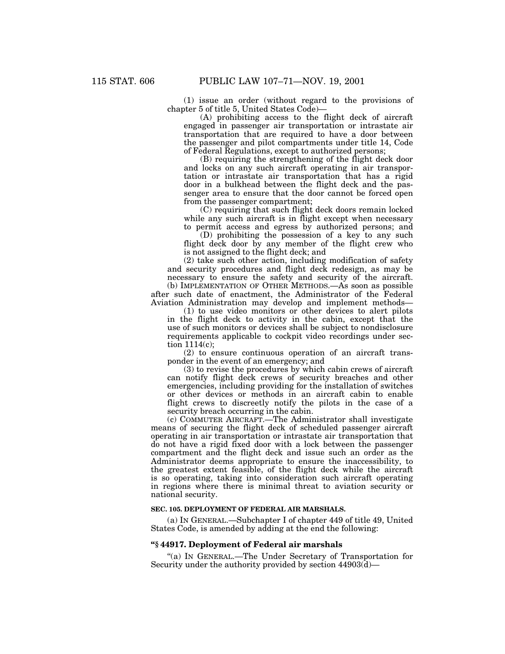(1) issue an order (without regard to the provisions of chapter 5 of title 5, United States Code)—

(A) prohibiting access to the flight deck of aircraft engaged in passenger air transportation or intrastate air transportation that are required to have a door between the passenger and pilot compartments under title 14, Code of Federal Regulations, except to authorized persons;

(B) requiring the strengthening of the flight deck door and locks on any such aircraft operating in air transportation or intrastate air transportation that has a rigid door in a bulkhead between the flight deck and the passenger area to ensure that the door cannot be forced open from the passenger compartment;

(C) requiring that such flight deck doors remain locked while any such aircraft is in flight except when necessary to permit access and egress by authorized persons; and

(D) prohibiting the possession of a key to any such flight deck door by any member of the flight crew who is not assigned to the flight deck; and

(2) take such other action, including modification of safety and security procedures and flight deck redesign, as may be necessary to ensure the safety and security of the aircraft.

(b) IMPLEMENTATION OF OTHER METHODS.—As soon as possible after such date of enactment, the Administrator of the Federal Aviation Administration may develop and implement methods—

(1) to use video monitors or other devices to alert pilots in the flight deck to activity in the cabin, except that the use of such monitors or devices shall be subject to nondisclosure requirements applicable to cockpit video recordings under section 1114(c);

(2) to ensure continuous operation of an aircraft transponder in the event of an emergency; and

(3) to revise the procedures by which cabin crews of aircraft can notify flight deck crews of security breaches and other emergencies, including providing for the installation of switches or other devices or methods in an aircraft cabin to enable flight crews to discreetly notify the pilots in the case of a security breach occurring in the cabin.

(c) COMMUTER AIRCRAFT.—The Administrator shall investigate means of securing the flight deck of scheduled passenger aircraft operating in air transportation or intrastate air transportation that do not have a rigid fixed door with a lock between the passenger compartment and the flight deck and issue such an order as the Administrator deems appropriate to ensure the inaccessibility, to the greatest extent feasible, of the flight deck while the aircraft is so operating, taking into consideration such aircraft operating in regions where there is minimal threat to aviation security or national security.

#### **SEC. 105. DEPLOYMENT OF FEDERAL AIR MARSHALS.**

(a) IN GENERAL.—Subchapter I of chapter 449 of title 49, United States Code, is amended by adding at the end the following:

## **''§ 44917. Deployment of Federal air marshals**

''(a) IN GENERAL.—The Under Secretary of Transportation for Security under the authority provided by section  $44903(\bar{d})$ —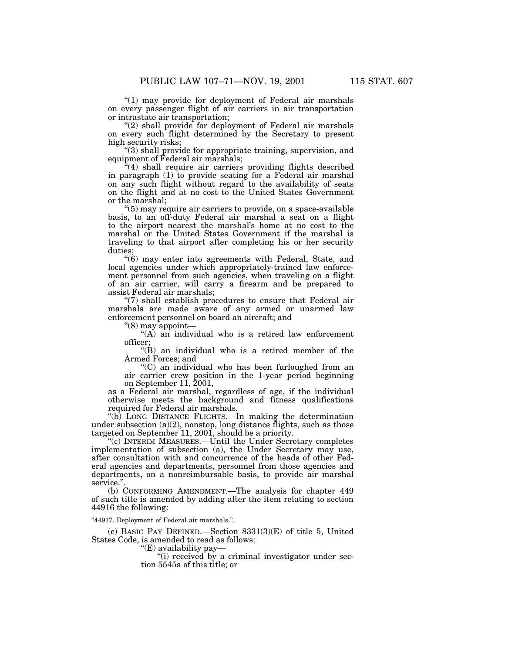"(1) may provide for deployment of Federal air marshals on every passenger flight of air carriers in air transportation or intrastate air transportation;

"(2) shall provide for deployment of Federal air marshals on every such flight determined by the Secretary to present high security risks;

''(3) shall provide for appropriate training, supervision, and equipment of Federal air marshals;

 $\frac{d}{dx}(4)$  shall require air carriers providing flights described in paragraph (1) to provide seating for a Federal air marshal on any such flight without regard to the availability of seats on the flight and at no cost to the United States Government or the marshal;

''(5) may require air carriers to provide, on a space-available basis, to an off-duty Federal air marshal a seat on a flight to the airport nearest the marshal's home at no cost to the marshal or the United States Government if the marshal is traveling to that airport after completing his or her security duties;

''(6) may enter into agreements with Federal, State, and local agencies under which appropriately-trained law enforcement personnel from such agencies, when traveling on a flight of an air carrier, will carry a firearm and be prepared to assist Federal air marshals;

 $\degree$ (7) shall establish procedures to ensure that Federal air marshals are made aware of any armed or unarmed law enforcement personnel on board an aircraft; and

''(8) may appoint—

"(A) an individual who is a retired law enforcement officer;

 $'(B)$  an individual who is a retired member of the Armed Forces; and

''(C) an individual who has been furloughed from an air carrier crew position in the 1-year period beginning on September 11, 2001,

as a Federal air marshal, regardless of age, if the individual otherwise meets the background and fitness qualifications required for Federal air marshals.

''(b) LONG DISTANCE FLIGHTS.—In making the determination under subsection  $(a)(2)$ , nonstop, long distance flights, such as those targeted on September 11, 2001, should be a priority.

''(c) INTERIM MEASURES.—Until the Under Secretary completes implementation of subsection (a), the Under Secretary may use, after consultation with and concurrence of the heads of other Federal agencies and departments, personnel from those agencies and departments, on a nonreimbursable basis, to provide air marshal service."

(b) CONFORMING AMENDMENT.—The analysis for chapter 449 of such title is amended by adding after the item relating to section 44916 the following:

''44917. Deployment of Federal air marshals.''.

(c) BASIC PAY DEFINED.—Section  $8331(3)(E)$  of title 5, United States Code, is amended to read as follows:

"(E) availability pay—<br>"(i) received by a criminal investigator under section 5545a of this title; or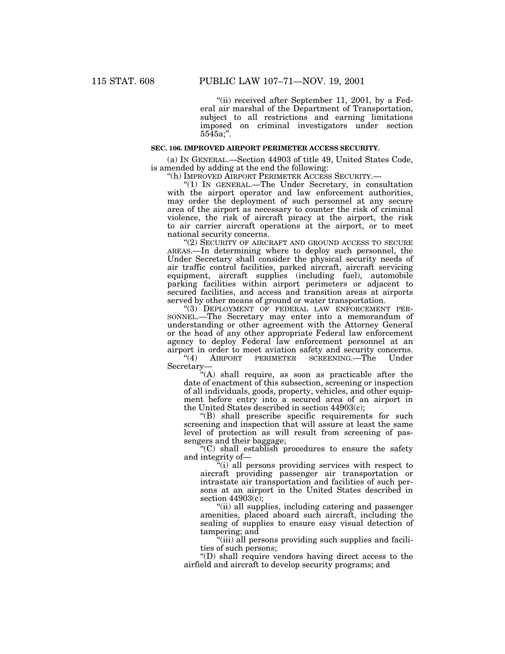"(ii) received after September 11, 2001, by a Federal air marshal of the Department of Transportation, subject to all restrictions and earning limitations imposed on criminal investigators under section 5545a;''.

## **SEC. 106. IMPROVED AIRPORT PERIMETER ACCESS SECURITY.**

(a) IN GENERAL.—Section 44903 of title 49, United States Code, is amended by adding at the end the following:

''(h) IMPROVED AIRPORT PERIMETER ACCESS SECURITY.—

''(1) IN GENERAL.—The Under Secretary, in consultation with the airport operator and law enforcement authorities, may order the deployment of such personnel at any secure area of the airport as necessary to counter the risk of criminal violence, the risk of aircraft piracy at the airport, the risk to air carrier aircraft operations at the airport, or to meet national security concerns.

"(2) SECURITY OF AIRCRAFT AND GROUND ACCESS TO SECURE AREAS.—In determining where to deploy such personnel, the Under Secretary shall consider the physical security needs of air traffic control facilities, parked aircraft, aircraft servicing equipment, aircraft supplies (including fuel), automobile parking facilities within airport perimeters or adjacent to secured facilities, and access and transition areas at airports served by other means of ground or water transportation.

"(3) DEPLOYMENT OF FEDERAL LAW ENFORCEMENT PER-SONNEL.—The Secretary may enter into a memorandum of understanding or other agreement with the Attorney General or the head of any other appropriate Federal law enforcement agency to deploy Federal law enforcement personnel at an airport in order to meet aviation safety and security concerns.<br>
"(4) AIRPORT PERIMETER SCREENING.—The Under

AIRPORT PERIMETER SCREENING.—The Secretary—

''(A) shall require, as soon as practicable after the date of enactment of this subsection, screening or inspection of all individuals, goods, property, vehicles, and other equipment before entry into a secured area of an airport in the United States described in section 44903(c);

''(B) shall prescribe specific requirements for such screening and inspection that will assure at least the same level of protection as will result from screening of passengers and their baggage;

''(C) shall establish procedures to ensure the safety and integrity of—

''(i) all persons providing services with respect to aircraft providing passenger air transportation or intrastate air transportation and facilities of such persons at an airport in the United States described in section 44903(c);

''(ii) all supplies, including catering and passenger amenities, placed aboard such aircraft, including the sealing of supplies to ensure easy visual detection of tampering; and

"(iii) all persons providing such supplies and facilities of such persons;

''(D) shall require vendors having direct access to the airfield and aircraft to develop security programs; and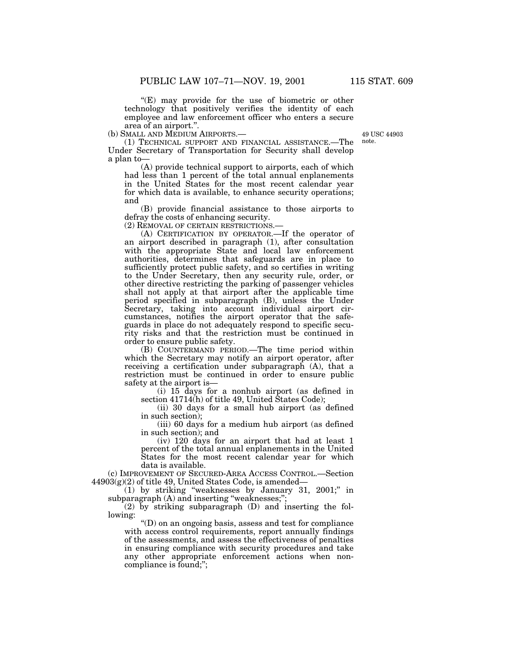"(E) may provide for the use of biometric or other technology that positively verifies the identity of each employee and law enforcement officer who enters a secure area of an airport."

(b) SMALL AND MEDIUM AIRPORTS.—

49 USC 44903 note.

(1) TECHNICAL SUPPORT AND FINANCIAL ASSISTANCE.—The Under Secretary of Transportation for Security shall develop a plan to—

(A) provide technical support to airports, each of which had less than 1 percent of the total annual enplanements in the United States for the most recent calendar year for which data is available, to enhance security operations; and

(B) provide financial assistance to those airports to defray the costs of enhancing security.

(2) REMOVAL OF CERTAIN RESTRICTIONS.—

(A) CERTIFICATION BY OPERATOR.—If the operator of an airport described in paragraph (1), after consultation with the appropriate State and local law enforcement authorities, determines that safeguards are in place to sufficiently protect public safety, and so certifies in writing to the Under Secretary, then any security rule, order, or other directive restricting the parking of passenger vehicles shall not apply at that airport after the applicable time period specified in subparagraph (B), unless the Under Secretary, taking into account individual airport circumstances, notifies the airport operator that the safeguards in place do not adequately respond to specific security risks and that the restriction must be continued in order to ensure public safety.

(B) COUNTERMAND PERIOD.—The time period within which the Secretary may notify an airport operator, after receiving a certification under subparagraph (A), that a restriction must be continued in order to ensure public safety at the airport is—

(i) 15 days for a nonhub airport (as defined in section 41714(h) of title 49, United States Code);

(ii) 30 days for a small hub airport (as defined in such section);

(iii) 60 days for a medium hub airport (as defined in such section); and

(iv) 120 days for an airport that had at least 1 percent of the total annual enplanements in the United States for the most recent calendar year for which data is available.

(c) IMPROVEMENT OF SECURED-AREA ACCESS CONTROL.—Section  $44903(g)(2)$  of title 49, United States Code, is amended—

(1) by striking "weaknesses by January 31, 2001;" in subparagraph (A) and inserting "weaknesses;";

(2) by striking subparagraph (D) and inserting the following:

''(D) on an ongoing basis, assess and test for compliance with access control requirements, report annually findings of the assessments, and assess the effectiveness of penalties in ensuring compliance with security procedures and take any other appropriate enforcement actions when noncompliance is found;'';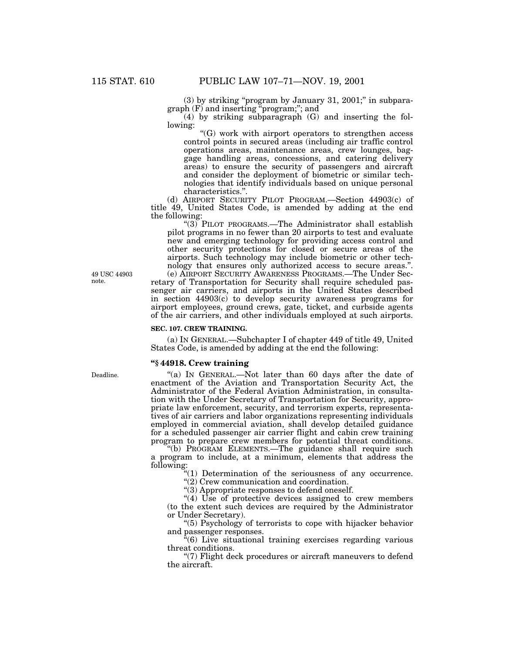(3) by striking "program by January 31, 2001;" in subparagraph (F) and inserting ''program;''; and

(4) by striking subparagraph (G) and inserting the following:

''(G) work with airport operators to strengthen access control points in secured areas (including air traffic control operations areas, maintenance areas, crew lounges, baggage handling areas, concessions, and catering delivery areas) to ensure the security of passengers and aircraft and consider the deployment of biometric or similar technologies that identify individuals based on unique personal characteristics.''.

(d) AIRPORT SECURITY PILOT PROGRAM.—Section 44903(c) of title 49, United States Code, is amended by adding at the end

" $(3)$  PILOT PROGRAMS.—The Administrator shall establish pilot programs in no fewer than 20 airports to test and evaluate new and emerging technology for providing access control and other security protections for closed or secure areas of the airports. Such technology may include biometric or other technology that ensures only authorized access to secure areas.''. (e) AIRPORT SECURITY AWARENESS PROGRAMS.—The Under Sec-

retary of Transportation for Security shall require scheduled passenger air carriers, and airports in the United States described in section 44903(c) to develop security awareness programs for airport employees, ground crews, gate, ticket, and curbside agents of the air carriers, and other individuals employed at such airports.

#### **SEC. 107. CREW TRAINING.**

(a) IN GENERAL.—Subchapter I of chapter 449 of title 49, United States Code, is amended by adding at the end the following:

## **''§ 44918. Crew training**

''(a) IN GENERAL.—Not later than 60 days after the date of enactment of the Aviation and Transportation Security Act, the Administrator of the Federal Aviation Administration, in consultation with the Under Secretary of Transportation for Security, appropriate law enforcement, security, and terrorism experts, representatives of air carriers and labor organizations representing individuals employed in commercial aviation, shall develop detailed guidance for a scheduled passenger air carrier flight and cabin crew training program to prepare crew members for potential threat conditions.

''(b) PROGRAM ELEMENTS.—The guidance shall require such a program to include, at a minimum, elements that address the following:<br>"(1) Determination of the seriousness of any occurrence.

''(2) Crew communication and coordination.

 $'(3)$  Appropriate responses to defend oneself.

"(4) Use of protective devices assigned to crew members (to the extent such devices are required by the Administrator or Under Secretary).

''(5) Psychology of terrorists to cope with hijacker behavior and passenger responses.

 $(6)$  Live situational training exercises regarding various threat conditions.

"(7) Flight deck procedures or aircraft maneuvers to defend the aircraft.

49 USC 44903 note.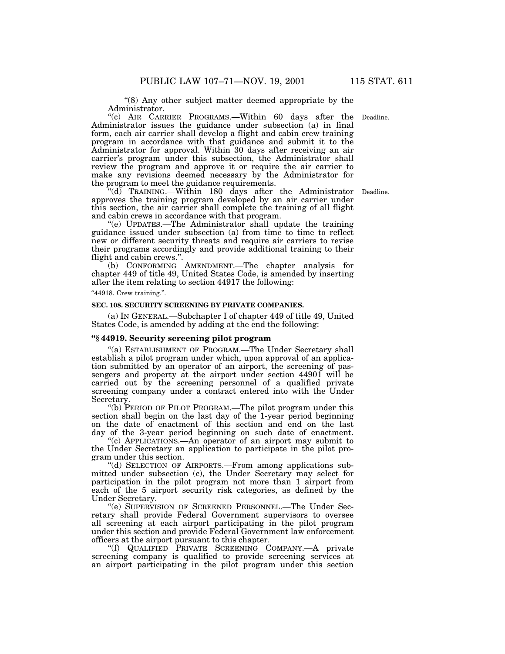''(8) Any other subject matter deemed appropriate by the Administrator.

"(c) AIR CARRIER PROGRAMS.—Within 60 days after the Deadline. Administrator issues the guidance under subsection (a) in final form, each air carrier shall develop a flight and cabin crew training program in accordance with that guidance and submit it to the Administrator for approval. Within 30 days after receiving an air carrier's program under this subsection, the Administrator shall review the program and approve it or require the air carrier to make any revisions deemed necessary by the Administrator for the program to meet the guidance requirements.<br>
"(d) TRAINING.—Within 180 days after the Administrator

approves the training program developed by an air carrier under this section, the air carrier shall complete the training of all flight

"(e) UPDATES.—The Administrator shall update the training guidance issued under subsection (a) from time to time to reflect new or different security threats and require air carriers to revise their programs accordingly and provide additional training to their flight and cabin crews.".<br>
(b) CONFORMING AMENDMENT.—The chapter analysis for

chapter 449 of title 49, United States Code, is amended by inserting after the item relating to section 44917 the following:

''44918. Crew training.''.

## **SEC. 108. SECURITY SCREENING BY PRIVATE COMPANIES.**

(a) IN GENERAL.—Subchapter I of chapter 449 of title 49, United States Code, is amended by adding at the end the following:

## **''§ 44919. Security screening pilot program**

"(a) ESTABLISHMENT OF PROGRAM.—The Under Secretary shall establish a pilot program under which, upon approval of an application submitted by an operator of an airport, the screening of passengers and property at the airport under section 44901 will be carried out by the screening personnel of a qualified private screening company under a contract entered into with the Under Secretary.

''(b) PERIOD OF PILOT PROGRAM.—The pilot program under this section shall begin on the last day of the 1-year period beginning on the date of enactment of this section and end on the last day of the 3-year period beginning on such date of enactment.

''(c) APPLICATIONS.—An operator of an airport may submit to the Under Secretary an application to participate in the pilot program under this section.

''(d) SELECTION OF AIRPORTS.—From among applications submitted under subsection (c), the Under Secretary may select for participation in the pilot program not more than 1 airport from each of the 5 airport security risk categories, as defined by the Under Secretary.

''(e) SUPERVISION OF SCREENED PERSONNEL.—The Under Secretary shall provide Federal Government supervisors to oversee all screening at each airport participating in the pilot program under this section and provide Federal Government law enforcement officers at the airport pursuant to this chapter.

''(f) QUALIFIED PRIVATE SCREENING COMPANY.—A private screening company is qualified to provide screening services at an airport participating in the pilot program under this section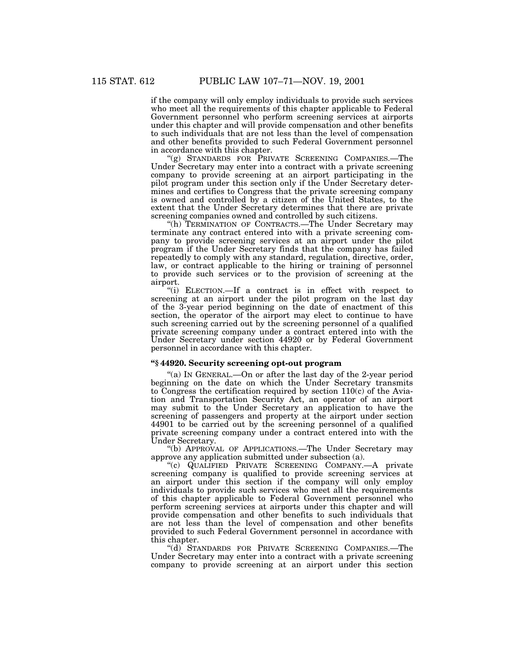if the company will only employ individuals to provide such services who meet all the requirements of this chapter applicable to Federal Government personnel who perform screening services at airports under this chapter and will provide compensation and other benefits to such individuals that are not less than the level of compensation and other benefits provided to such Federal Government personnel in accordance with this chapter.

''(g) STANDARDS FOR PRIVATE SCREENING COMPANIES.—The Under Secretary may enter into a contract with a private screening company to provide screening at an airport participating in the pilot program under this section only if the Under Secretary determines and certifies to Congress that the private screening company is owned and controlled by a citizen of the United States, to the extent that the Under Secretary determines that there are private screening companies owned and controlled by such citizens. ''(h) TERMINATION OF CONTRACTS.—The Under Secretary may

terminate any contract entered into with a private screening company to provide screening services at an airport under the pilot program if the Under Secretary finds that the company has failed repeatedly to comply with any standard, regulation, directive, order, law, or contract applicable to the hiring or training of personnel to provide such services or to the provision of screening at the

airport.<br>"(i) ELECTION.—If a contract is in effect with respect to screening at an airport under the pilot program on the last day of the 3-year period beginning on the date of enactment of this section, the operator of the airport may elect to continue to have such screening carried out by the screening personnel of a qualified private screening company under a contract entered into with the Under Secretary under section 44920 or by Federal Government personnel in accordance with this chapter.

## **''§ 44920. Security screening opt-out program**

''(a) IN GENERAL.—On or after the last day of the 2-year period beginning on the date on which the Under Secretary transmits to Congress the certification required by section  $110(c)$  of the Aviation and Transportation Security Act, an operator of an airport may submit to the Under Secretary an application to have the screening of passengers and property at the airport under section 44901 to be carried out by the screening personnel of a qualified private screening company under a contract entered into with the Under Secretary.

''(b) APPROVAL OF APPLICATIONS.—The Under Secretary may approve any application submitted under subsection (a). ''(c) QUALIFIED PRIVATE SCREENING COMPANY.—A private

screening company is qualified to provide screening services at an airport under this section if the company will only employ individuals to provide such services who meet all the requirements of this chapter applicable to Federal Government personnel who perform screening services at airports under this chapter and will provide compensation and other benefits to such individuals that are not less than the level of compensation and other benefits provided to such Federal Government personnel in accordance with this chapter.

''(d) STANDARDS FOR PRIVATE SCREENING COMPANIES.—The Under Secretary may enter into a contract with a private screening company to provide screening at an airport under this section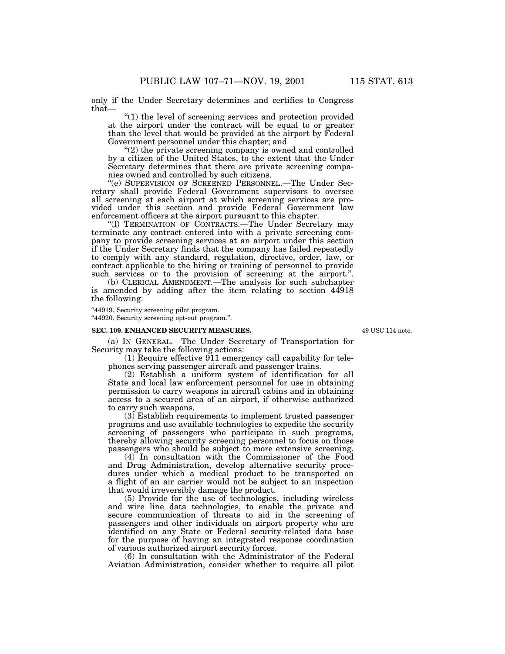$(1)$  the level of screening services and protection provided at the airport under the contract will be equal to or greater than the level that would be provided at the airport by Federal Government personnel under this chapter; and

 $(2)$  the private screening company is owned and controlled by a citizen of the United States, to the extent that the Under Secretary determines that there are private screening companies owned and controlled by such citizens.

''(e) SUPERVISION OF SCREENED PERSONNEL.—The Under Secretary shall provide Federal Government supervisors to oversee all screening at each airport at which screening services are provided under this section and provide Federal Government law enforcement officers at the airport pursuant to this chapter.<br>"(f) TERMINATION OF CONTRACTS.—The Under Secretary may

terminate any contract entered into with a private screening company to provide screening services at an airport under this section if the Under Secretary finds that the company has failed repeatedly to comply with any standard, regulation, directive, order, law, or contract applicable to the hiring or training of personnel to provide such services or to the provision of screening at the airport.".

(b) CLERICAL AMENDMENT.—The analysis for such subchapter is amended by adding after the item relating to section 44918 the following:

"44919. Security screening pilot program.

''44920. Security screening opt-out program.''.

#### **SEC. 109. ENHANCED SECURITY MEASURES.**

49 USC 114 note.

(a) IN GENERAL.—The Under Secretary of Transportation for Security may take the following actions:

(1) Require effective 911 emergency call capability for telephones serving passenger aircraft and passenger trains.

(2) Establish a uniform system of identification for all State and local law enforcement personnel for use in obtaining permission to carry weapons in aircraft cabins and in obtaining access to a secured area of an airport, if otherwise authorized to carry such weapons.

(3) Establish requirements to implement trusted passenger programs and use available technologies to expedite the security screening of passengers who participate in such programs, thereby allowing security screening personnel to focus on those passengers who should be subject to more extensive screening.

(4) In consultation with the Commissioner of the Food and Drug Administration, develop alternative security procedures under which a medical product to be transported on a flight of an air carrier would not be subject to an inspection that would irreversibly damage the product.

(5) Provide for the use of technologies, including wireless and wire line data technologies, to enable the private and secure communication of threats to aid in the screening of passengers and other individuals on airport property who are identified on any State or Federal security-related data base for the purpose of having an integrated response coordination of various authorized airport security forces.

(6) In consultation with the Administrator of the Federal Aviation Administration, consider whether to require all pilot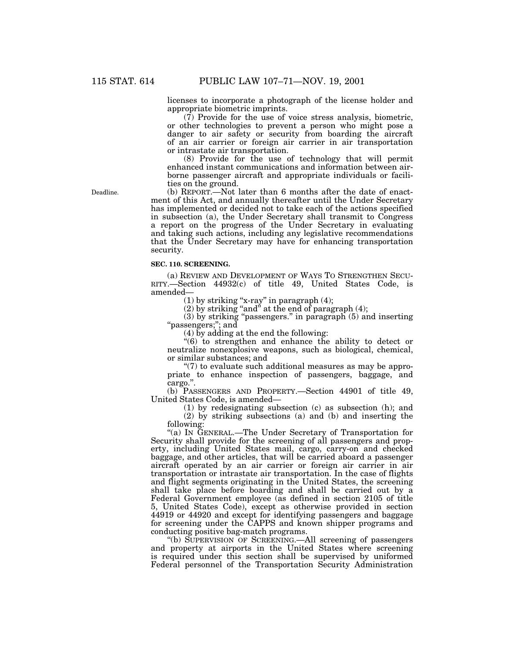licenses to incorporate a photograph of the license holder and appropriate biometric imprints.

(7) Provide for the use of voice stress analysis, biometric, or other technologies to prevent a person who might pose a danger to air safety or security from boarding the aircraft of an air carrier or foreign air carrier in air transportation or intrastate air transportation.

(8) Provide for the use of technology that will permit enhanced instant communications and information between airborne passenger aircraft and appropriate individuals or facilities on the ground.

(b) REPORT.—Not later than 6 months after the date of enactment of this Act, and annually thereafter until the Under Secretary has implemented or decided not to take each of the actions specified in subsection (a), the Under Secretary shall transmit to Congress a report on the progress of the Under Secretary in evaluating and taking such actions, including any legislative recommendations that the Under Secretary may have for enhancing transportation security.

## **SEC. 110. SCREENING.**

(a) REVIEW AND DEVELOPMENT OF WAYS TO STRENGTHEN SECU-RITY.—Section 44932(c) of title 49, United States Code, is amended—

 $(1)$  by striking "x-ray" in paragraph  $(4)$ ;

(2) by striking ''and'' at the end of paragraph (4);

(3) by striking ''passengers.'' in paragraph (5) and inserting ''passengers;''; and

(4) by adding at the end the following:

''(6) to strengthen and enhance the ability to detect or neutralize nonexplosive weapons, such as biological, chemical, or similar substances; and

 $\degree$ (7) to evaluate such additional measures as may be appropriate to enhance inspection of passengers, baggage, and cargo.''.

(b) PASSENGERS AND PROPERTY.—Section 44901 of title 49, United States Code, is amended—

(1) by redesignating subsection (c) as subsection (h); and

(2) by striking subsections (a) and (b) and inserting the following:

''(a) IN GENERAL.—The Under Secretary of Transportation for Security shall provide for the screening of all passengers and property, including United States mail, cargo, carry-on and checked baggage, and other articles, that will be carried aboard a passenger aircraft operated by an air carrier or foreign air carrier in air transportation or intrastate air transportation. In the case of flights and flight segments originating in the United States, the screening shall take place before boarding and shall be carried out by a Federal Government employee (as defined in section 2105 of title 5, United States Code), except as otherwise provided in section 44919 or 44920 and except for identifying passengers and baggage for screening under the CAPPS and known shipper programs and conducting positive bag-match programs.

''(b) SUPERVISION OF SCREENING.—All screening of passengers and property at airports in the United States where screening is required under this section shall be supervised by uniformed Federal personnel of the Transportation Security Administration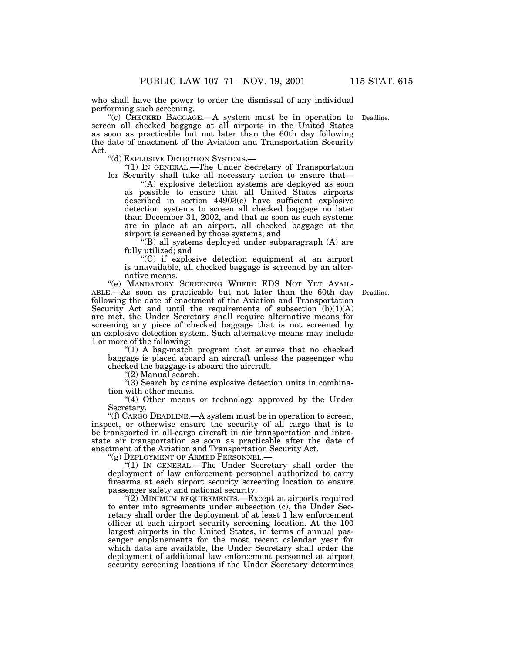who shall have the power to order the dismissal of any individual performing such screening.

''(c) CHECKED BAGGAGE.—A system must be in operation to screen all checked baggage at all airports in the United States as soon as practicable but not later than the 60th day following the date of enactment of the Aviation and Transportation Security Act.

''(d) EXPLOSIVE DETECTION SYSTEMS.—

''(1) IN GENERAL.—The Under Secretary of Transportation for Security shall take all necessary action to ensure that—

" $(\overrightarrow{A})$  explosive detection systems are deployed as soon as possible to ensure that all United States airports described in section 44903(c) have sufficient explosive detection systems to screen all checked baggage no later than December 31, 2002, and that as soon as such systems are in place at an airport, all checked baggage at the airport is screened by those systems; and

''(B) all systems deployed under subparagraph (A) are fully utilized; and

''(C) if explosive detection equipment at an airport is unavailable, all checked baggage is screened by an alternative means.<br>"(e) MANDATORY SCREENING WHERE EDS NOT YET AVAIL-

''(e) MANDATORY SCREENING WHERE EDS NOT YET AVAIL- ABLE.—As soon as practicable but not later than the 60th day following the date of enactment of the Aviation and Transportation Security Act and until the requirements of subsection  $(b)(1)(A)$ are met, the Under Secretary shall require alternative means for screening any piece of checked baggage that is not screened by an explosive detection system. Such alternative means may include 1 or more of the following:

"(1) A bag-match program that ensures that no checked baggage is placed aboard an aircraft unless the passenger who checked the baggage is aboard the aircraft.

''(2) Manual search.

 $'(3)$  Search by canine explosive detection units in combination with other means.

"(4) Other means or technology approved by the Under Secretary.

''(f) CARGO DEADLINE.—A system must be in operation to screen, inspect, or otherwise ensure the security of all cargo that is to be transported in all-cargo aircraft in air transportation and intrastate air transportation as soon as practicable after the date of enactment of the Aviation and Transportation Security Act.<br>
"(g) DEPLOYMENT OF ARMED PERSONNEL.—

"(1) IN GENERAL.—The Under Secretary shall order the deployment of law enforcement personnel authorized to carry firearms at each airport security screening location to ensure passenger safety and national security.

" $(2)$  MINIMUM REQUIREMENTS.—Except at airports required to enter into agreements under subsection (c), the Under Secretary shall order the deployment of at least 1 law enforcement officer at each airport security screening location. At the 100 largest airports in the United States, in terms of annual passenger enplanements for the most recent calendar year for which data are available, the Under Secretary shall order the deployment of additional law enforcement personnel at airport security screening locations if the Under Secretary determines

Deadline.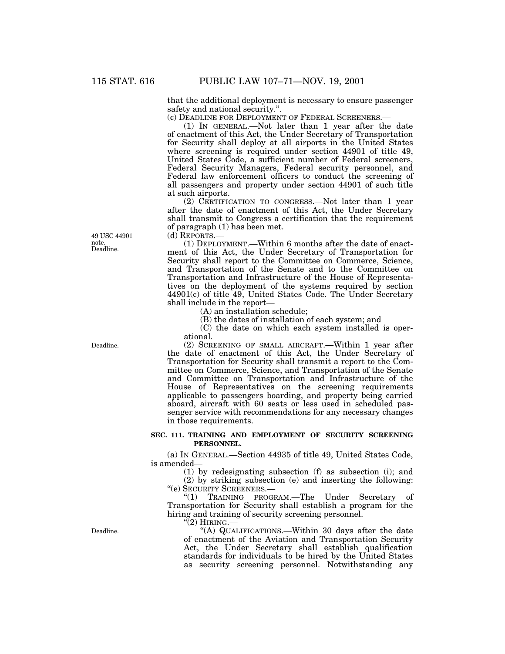that the additional deployment is necessary to ensure passenger safety and national security.''.

(c) DEADLINE FOR DEPLOYMENT OF FEDERAL SCREENERS.—

(1) IN GENERAL.—Not later than 1 year after the date of enactment of this Act, the Under Secretary of Transportation for Security shall deploy at all airports in the United States where screening is required under section 44901 of title 49, United States Code, a sufficient number of Federal screeners, Federal Security Managers, Federal security personnel, and Federal law enforcement officers to conduct the screening of all passengers and property under section 44901 of such title at such airports.

(2) CERTIFICATION TO CONGRESS.—Not later than 1 year after the date of enactment of this Act, the Under Secretary shall transmit to Congress a certification that the requirement of paragraph (1) has been met.

 $(d)$  REPORTS.

(1) DEPLOYMENT.—Within 6 months after the date of enactment of this Act, the Under Secretary of Transportation for Security shall report to the Committee on Commerce, Science, and Transportation of the Senate and to the Committee on Transportation and Infrastructure of the House of Representatives on the deployment of the systems required by section 44901(c) of title 49, United States Code. The Under Secretary shall include in the report—

(A) an installation schedule;

(B) the dates of installation of each system; and

(C) the date on which each system installed is operational.

(2) SCREENING OF SMALL AIRCRAFT.—Within 1 year after the date of enactment of this Act, the Under Secretary of Transportation for Security shall transmit a report to the Committee on Commerce, Science, and Transportation of the Senate and Committee on Transportation and Infrastructure of the House of Representatives on the screening requirements applicable to passengers boarding, and property being carried aboard, aircraft with 60 seats or less used in scheduled passenger service with recommendations for any necessary changes in those requirements.

## **SEC. 111. TRAINING AND EMPLOYMENT OF SECURITY SCREENING PERSONNEL.**

(a) IN GENERAL.—Section 44935 of title 49, United States Code, is amended—

(1) by redesignating subsection (f) as subsection (i); and (2) by striking subsection (e) and inserting the following: ''(e) SECURITY SCREENERS.—

''(1) TRAINING PROGRAM.—The Under Secretary of Transportation for Security shall establish a program for the hiring and training of security screening personnel.

 $\sqrt[q]{(2)}$  HIRING.

''(A) QUALIFICATIONS.—Within 30 days after the date of enactment of the Aviation and Transportation Security Act, the Under Secretary shall establish qualification standards for individuals to be hired by the United States as security screening personnel. Notwithstanding any

Deadline. 49 USC 44901 note.

Deadline.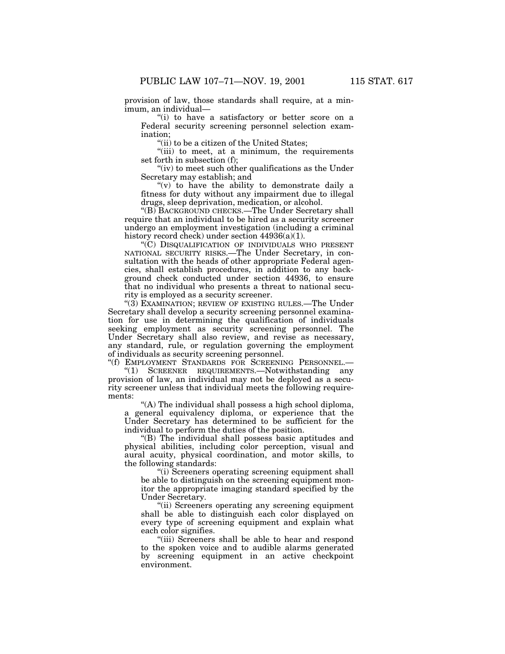provision of law, those standards shall require, at a minimum, an individual—

"(i) to have a satisfactory or better score on a Federal security screening personnel selection examination;

"(ii) to be a citizen of the United States;

''(iii) to meet, at a minimum, the requirements set forth in subsection (f);

"(iv) to meet such other qualifications as the Under Secretary may establish; and

" $(v)$  to have the ability to demonstrate daily a fitness for duty without any impairment due to illegal drugs, sleep deprivation, medication, or alcohol.

''(B) BACKGROUND CHECKS.—The Under Secretary shall require that an individual to be hired as a security screener undergo an employment investigation (including a criminal history record check) under section 44936(a)(1).

''(C) DISQUALIFICATION OF INDIVIDUALS WHO PRESENT NATIONAL SECURITY RISKS.—The Under Secretary, in consultation with the heads of other appropriate Federal agencies, shall establish procedures, in addition to any background check conducted under section 44936, to ensure that no individual who presents a threat to national security is employed as a security screener.

"(3) EXAMINATION; REVIEW OF EXISTING RULES.—The Under Secretary shall develop a security screening personnel examination for use in determining the qualification of individuals seeking employment as security screening personnel. The Under Secretary shall also review, and revise as necessary, any standard, rule, or regulation governing the employment of individuals as security screening personnel.

''(f) EMPLOYMENT STANDARDS FOR SCREENING PERSONNEL.—

''(1) SCREENER REQUIREMENTS.—Notwithstanding any provision of law, an individual may not be deployed as a security screener unless that individual meets the following requirements:

''(A) The individual shall possess a high school diploma, a general equivalency diploma, or experience that the Under Secretary has determined to be sufficient for the individual to perform the duties of the position.

''(B) The individual shall possess basic aptitudes and physical abilities, including color perception, visual and aural acuity, physical coordination, and motor skills, to the following standards:

''(i) Screeners operating screening equipment shall be able to distinguish on the screening equipment monitor the appropriate imaging standard specified by the Under Secretary.

''(ii) Screeners operating any screening equipment shall be able to distinguish each color displayed on every type of screening equipment and explain what each color signifies.

"(iii) Screeners shall be able to hear and respond to the spoken voice and to audible alarms generated by screening equipment in an active checkpoint environment.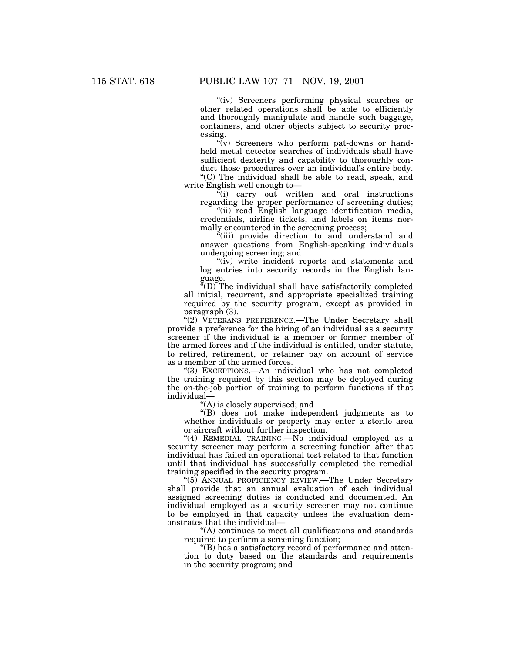''(iv) Screeners performing physical searches or other related operations shall be able to efficiently and thoroughly manipulate and handle such baggage, containers, and other objects subject to security processing.

"(v) Screeners who perform pat-downs or handheld metal detector searches of individuals shall have sufficient dexterity and capability to thoroughly conduct those procedures over an individual's entire body. ''(C) The individual shall be able to read, speak, and

write English well enough to— ''(i) carry out written and oral instructions

regarding the proper performance of screening duties; "(ii) read English language identification media,

credentials, airline tickets, and labels on items normally encountered in the screening process;

"(iii) provide direction to and understand and answer questions from English-speaking individuals undergoing screening; and

"(iv) write incident reports and statements and log entries into security records in the English language.

''(D) The individual shall have satisfactorily completed all initial, recurrent, and appropriate specialized training required by the security program, except as provided in paragraph (3).

"(2) VETERANS PREFERENCE.—The Under Secretary shall provide a preference for the hiring of an individual as a security screener if the individual is a member or former member of the armed forces and if the individual is entitled, under statute, to retired, retirement, or retainer pay on account of service as a member of the armed forces.

''(3) EXCEPTIONS.—An individual who has not completed the training required by this section may be deployed during the on-the-job portion of training to perform functions if that individual—

''(A) is closely supervised; and

''(B) does not make independent judgments as to whether individuals or property may enter a sterile area or aircraft without further inspection.

''(4) REMEDIAL TRAINING.—No individual employed as a security screener may perform a screening function after that individual has failed an operational test related to that function until that individual has successfully completed the remedial training specified in the security program.

''(5) ANNUAL PROFICIENCY REVIEW.—The Under Secretary shall provide that an annual evaluation of each individual assigned screening duties is conducted and documented. An individual employed as a security screener may not continue to be employed in that capacity unless the evaluation demonstrates that the individual—

''(A) continues to meet all qualifications and standards required to perform a screening function;

''(B) has a satisfactory record of performance and attention to duty based on the standards and requirements in the security program; and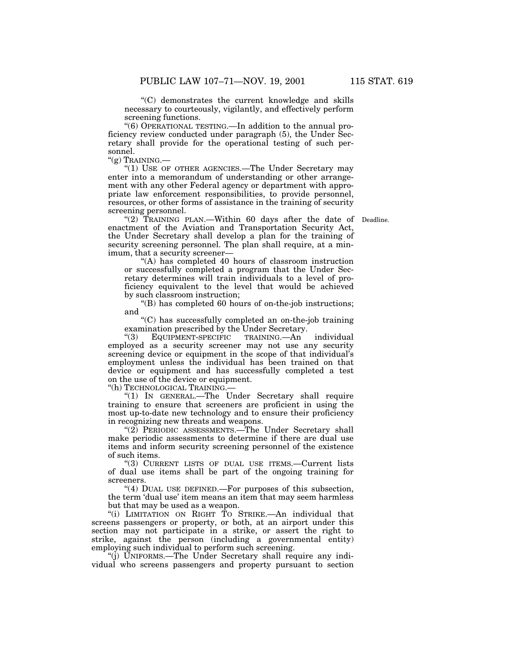''(C) demonstrates the current knowledge and skills necessary to courteously, vigilantly, and effectively perform screening functions.

''(6) OPERATIONAL TESTING.—In addition to the annual proficiency review conducted under paragraph (5), the Under Secretary shall provide for the operational testing of such personnel.

"(g) TRAINING.—

''(1) USE OF OTHER AGENCIES.—The Under Secretary may enter into a memorandum of understanding or other arrangement with any other Federal agency or department with appropriate law enforcement responsibilities, to provide personnel, resources, or other forms of assistance in the training of security screening personnel.

"(2) TRAINING PLAN.—Within 60 days after the date of Deadline. enactment of the Aviation and Transportation Security Act, the Under Secretary shall develop a plan for the training of security screening personnel. The plan shall require, at a minimum, that a security screener—

''(A) has completed 40 hours of classroom instruction or successfully completed a program that the Under Secretary determines will train individuals to a level of proficiency equivalent to the level that would be achieved by such classroom instruction;

''(B) has completed 60 hours of on-the-job instructions; and

''(C) has successfully completed an on-the-job training

examination prescribed by the Under Secretary.<br>"(3) EQUIPMENT-SPECIFIC TRAINING.—An EQUIPMENT-SPECIFIC TRAINING.—An individual employed as a security screener may not use any security screening device or equipment in the scope of that individual's employment unless the individual has been trained on that device or equipment and has successfully completed a test on the use of the device or equipment.

''(h) TECHNOLOGICAL TRAINING.—

''(1) IN GENERAL.—The Under Secretary shall require training to ensure that screeners are proficient in using the most up-to-date new technology and to ensure their proficiency in recognizing new threats and weapons.

" $(2)$  PERIODIC ASSESSMENTS.—The Under Secretary shall make periodic assessments to determine if there are dual use items and inform security screening personnel of the existence of such items.

''(3) CURRENT LISTS OF DUAL USE ITEMS.—Current lists of dual use items shall be part of the ongoing training for screeners.

"(4) DUAL USE DEFINED.—For purposes of this subsection, the term 'dual use' item means an item that may seem harmless but that may be used as a weapon.

''(i) LIMITATION ON RIGHT TO STRIKE.—An individual that screens passengers or property, or both, at an airport under this section may not participate in a strike, or assert the right to strike, against the person (including a governmental entity) employing such individual to perform such screening.

''(j) UNIFORMS.—The Under Secretary shall require any individual who screens passengers and property pursuant to section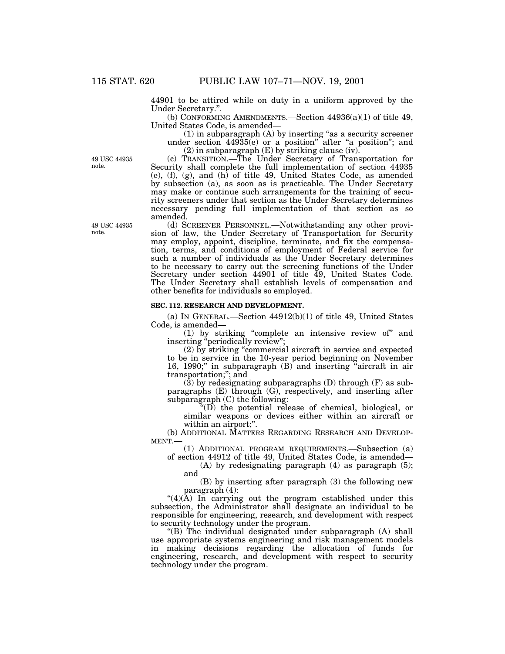44901 to be attired while on duty in a uniform approved by the Under Secretary.''.

(b) CONFORMING AMENDMENTS.—Section  $44936(a)(1)$  of title  $49$ , United States Code, is amended—

 $(1)$  in subparagraph  $(A)$  by inserting "as a security screener under section 44935(e) or a position" after "a position"; and  $(2)$  in subparagraph  $(E)$  by striking clause  $(iv)$ .

(c) TRANSITION.—The Under Secretary of Transportation for Security shall complete the full implementation of section 44935 (e), (f), (g), and (h) of title 49, United States Code, as amended by subsection (a), as soon as is practicable. The Under Secretary may make or continue such arrangements for the training of security screeners under that section as the Under Secretary determines necessary pending full implementation of that section as so amended.

(d) SCREENER PERSONNEL.—Notwithstanding any other provision of law, the Under Secretary of Transportation for Security may employ, appoint, discipline, terminate, and fix the compensation, terms, and conditions of employment of Federal service for such a number of individuals as the Under Secretary determines to be necessary to carry out the screening functions of the Under Secretary under section 44901 of title 49, United States Code. The Under Secretary shall establish levels of compensation and other benefits for individuals so employed.

#### **SEC. 112. RESEARCH AND DEVELOPMENT.**

(a) IN GENERAL.—Section 44912(b)(1) of title 49, United States Code, is amended—

(1) by striking ''complete an intensive review of'' and inserting "periodically review";

(2) by striking ''commercial aircraft in service and expected to be in service in the 10-year period beginning on November 16, 1990;" in subparagraph (B) and inserting "aircraft in air transportation;''; and

 $(3)$  by redesignating subparagraphs  $(D)$  through  $(F)$  as subparagraphs (E) through (G), respectively, and inserting after subparagraph (C) the following:

 $\sqrt[4]{(D)}$  the potential release of chemical, biological, or similar weapons or devices either within an aircraft or

within an airport;".<br>(b) ADDITIONAL MATTERS REGARDING RESEARCH AND DEVELOP-MENT.—<br>
(1) ADDITIONAL PROGRAM REQUIREMENTS.—Subsection (a)

of section 44912 of title 49, United States Code, is amended— (A) by redesignating paragraph (4) as paragraph (5); and

(B) by inserting after paragraph (3) the following new paragraph (4):

" $(4)(\overline{A})$  In carrying out the program established under this subsection, the Administrator shall designate an individual to be responsible for engineering, research, and development with respect to security technology under the program.

''(B) The individual designated under subparagraph (A) shall use appropriate systems engineering and risk management models in making decisions regarding the allocation of funds for engineering, research, and development with respect to security technology under the program.

49 USC 44935 note.

49 USC 44935 note.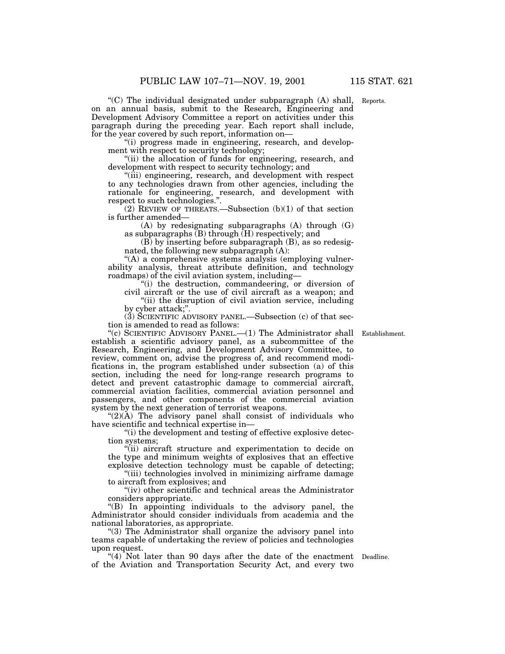''(C) The individual designated under subparagraph (A) shall, Reports. on an annual basis, submit to the Research, Engineering and Development Advisory Committee a report on activities under this paragraph during the preceding year. Each report shall include, for the year covered by such report, information on—

''(i) progress made in engineering, research, and development with respect to security technology;

"(ii) the allocation of funds for engineering, research, and development with respect to security technology; and

''(iii) engineering, research, and development with respect to any technologies drawn from other agencies, including the rationale for engineering, research, and development with respect to such technologies.''.

(2) REVIEW OF THREATS.—Subsection  $(b)(1)$  of that section is further amended—

(A) by redesignating subparagraphs (A) through (G) as subparagraphs  $(B)$  through  $(H)$  respectively; and

(B) by inserting before subparagraph (B), as so redesignated, the following new subparagraph (A):

''(A) a comprehensive systems analysis (employing vulnerability analysis, threat attribute definition, and technology roadmaps) of the civil aviation system, including—

''(i) the destruction, commandeering, or diversion of

civil aircraft or the use of civil aircraft as a weapon; and "(ii) the disruption of civil aviation service, including by cyber attack;''.

(3) SCIENTIFIC ADVISORY PANEL.—Subsection (c) of that section is amended to read as follows:

''(c) SCIENTIFIC ADVISORY PANEL.—(1) The Administrator shall establish a scientific advisory panel, as a subcommittee of the Research, Engineering, and Development Advisory Committee, to review, comment on, advise the progress of, and recommend modifications in, the program established under subsection (a) of this section, including the need for long-range research programs to detect and prevent catastrophic damage to commercial aircraft, commercial aviation facilities, commercial aviation personnel and passengers, and other components of the commercial aviation system by the next generation of terrorist weapons.

" $(2)(A)$  The advisory panel shall consist of individuals who have scientific and technical expertise in—

''(i) the development and testing of effective explosive detection systems;

''(ii) aircraft structure and experimentation to decide on the type and minimum weights of explosives that an effective explosive detection technology must be capable of detecting;

"(iii) technologies involved in minimizing airframe damage to aircraft from explosives; and

"(iv) other scientific and technical areas the Administrator considers appropriate.

''(B) In appointing individuals to the advisory panel, the Administrator should consider individuals from academia and the national laboratories, as appropriate.

''(3) The Administrator shall organize the advisory panel into teams capable of undertaking the review of policies and technologies upon request.

" $(4)$  Not later than 90 days after the date of the enactment Deadline. of the Aviation and Transportation Security Act, and every two

Establishment.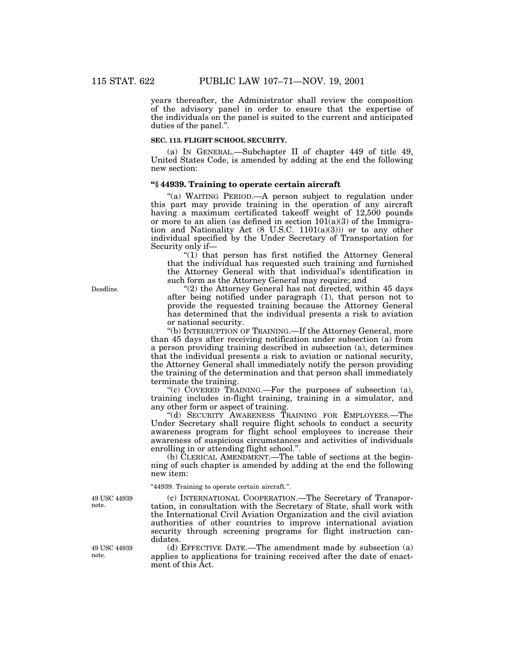years thereafter, the Administrator shall review the composition of the advisory panel in order to ensure that the expertise of the individuals on the panel is suited to the current and anticipated duties of the panel.''.

## **SEC. 113. FLIGHT SCHOOL SECURITY.**

(a) IN GENERAL.—Subchapter II of chapter 449 of title 49, United States Code, is amended by adding at the end the following new section:

### **''§ 44939. Training to operate certain aircraft**

''(a) WAITING PERIOD.—A person subject to regulation under this part may provide training in the operation of any aircraft having a maximum certificated takeoff weight of 12,500 pounds or more to an alien (as defined in section  $101(a)(3)$  of the Immigration and Nationality Act  $(8 \text{ U.S.C. } 1101(a)(3))$  or to any other individual specified by the Under Secretary of Transportation for Security only if—

 $''(1)$  that person has first notified the Attorney General that the individual has requested such training and furnished the Attorney General with that individual's identification in such form as the Attorney General may require; and

"(2) the Attorney General has not directed, within 45 days after being notified under paragraph (1), that person not to provide the requested training because the Attorney General has determined that the individual presents a risk to aviation or national security.

''(b) INTERRUPTION OF TRAINING.—If the Attorney General, more than 45 days after receiving notification under subsection (a) from a person providing training described in subsection (a), determines that the individual presents a risk to aviation or national security, the Attorney General shall immediately notify the person providing the training of the determination and that person shall immediately terminate the training.

''(c) COVERED TRAINING.—For the purposes of subsection (a), training includes in-flight training, training in a simulator, and any other form or aspect of training.

''(d) SECURITY AWARENESS TRAINING FOR EMPLOYEES.—The Under Secretary shall require flight schools to conduct a security awareness program for flight school employees to increase their awareness of suspicious circumstances and activities of individuals enrolling in or attending flight school."

(b) CLERICAL AMENDMENT.—The table of sections at the beginning of such chapter is amended by adding at the end the following new item:

''44939. Training to operate certain aircraft.''.

(c) INTERNATIONAL COOPERATION.—The Secretary of Transportation, in consultation with the Secretary of State, shall work with the International Civil Aviation Organization and the civil aviation authorities of other countries to improve international aviation security through screening programs for flight instruction candidates.

(d) EFFECTIVE DATE.—The amendment made by subsection (a) applies to applications for training received after the date of enactment of this Act.

Deadline.

49 USC 44939 note.

49 USC 44939 note.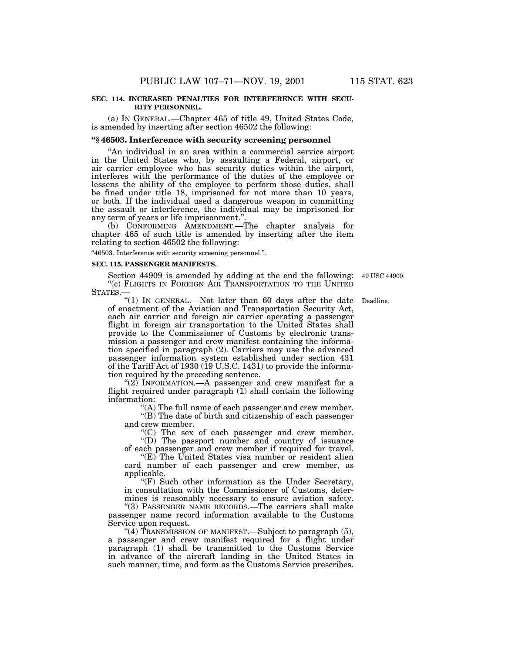## **SEC. 114. INCREASED PENALTIES FOR INTERFERENCE WITH SECU-RITY PERSONNEL.**

(a) IN GENERAL.—Chapter 465 of title 49, United States Code, is amended by inserting after section 46502 the following:

## **''§ 46503. Interference with security screening personnel**

''An individual in an area within a commercial service airport in the United States who, by assaulting a Federal, airport, or air carrier employee who has security duties within the airport, interferes with the performance of the duties of the employee or lessens the ability of the employee to perform those duties, shall be fined under title 18, imprisoned for not more than 10 years, or both. If the individual used a dangerous weapon in committing the assault or interference, the individual may be imprisoned for any term of years or life imprisonment.''.

(b) CONFORMING AMENDMENT.—The chapter analysis for chapter 465 of such title is amended by inserting after the item relating to section 46502 the following:

''46503. Interference with security screening personnel.''.

#### **SEC. 115. PASSENGER MANIFESTS.**

Section 44909 is amended by adding at the end the following: 49 USC 44909. ''(c) FLIGHTS IN FOREIGN AIR TRANSPORTATION TO THE UNITED STATES.

"(1) In GENERAL.—Not later than 60 days after the date Deadline. of enactment of the Aviation and Transportation Security Act, each air carrier and foreign air carrier operating a passenger flight in foreign air transportation to the United States shall provide to the Commissioner of Customs by electronic transmission a passenger and crew manifest containing the information specified in paragraph (2). Carriers may use the advanced passenger information system established under section 431 of the Tariff Act of 1930 (19 U.S.C. 1431) to provide the information required by the preceding sentence.

"(2) INFORMATION.—A passenger and crew manifest for a flight required under paragraph  $(I)$  shall contain the following information:

''(A) The full name of each passenger and crew member.

''(B) The date of birth and citizenship of each passenger and crew member.

''(C) The sex of each passenger and crew member. ''(D) The passport number and country of issuance of each passenger and crew member if required for travel.

" $(E)$  The United States visa number or resident alien card number of each passenger and crew member, as applicable.

 $\mathcal{F}(F)$  Such other information as the Under Secretary, in consultation with the Commissioner of Customs, determines is reasonably necessary to ensure aviation safety.

''(3) PASSENGER NAME RECORDS.—The carriers shall make passenger name record information available to the Customs Service upon request.

"(4) TRANSMISSION OF MANIFEST.—Subject to paragraph (5), a passenger and crew manifest required for a flight under paragraph (1) shall be transmitted to the Customs Service in advance of the aircraft landing in the United States in such manner, time, and form as the Customs Service prescribes.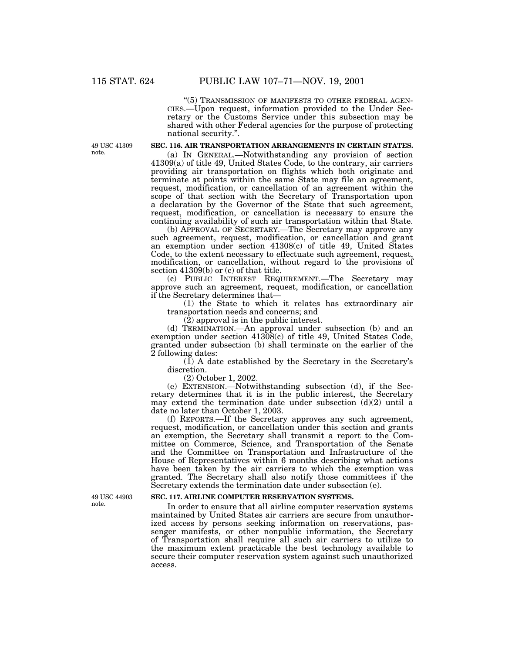''(5) TRANSMISSION OF MANIFESTS TO OTHER FEDERAL AGEN- CIES.—Upon request, information provided to the Under Secretary or the Customs Service under this subsection may be shared with other Federal agencies for the purpose of protecting national security.''.

49 USC 41309 note.

#### **SEC. 116. AIR TRANSPORTATION ARRANGEMENTS IN CERTAIN STATES.**

(a) IN GENERAL.—Notwithstanding any provision of section 41309(a) of title 49, United States Code, to the contrary, air carriers providing air transportation on flights which both originate and terminate at points within the same State may file an agreement, request, modification, or cancellation of an agreement within the scope of that section with the Secretary of Transportation upon a declaration by the Governor of the State that such agreement, request, modification, or cancellation is necessary to ensure the continuing availability of such air transportation within that State.

(b) APPROVAL OF SECRETARY.—The Secretary may approve any such agreement, request, modification, or cancellation and grant an exemption under section 41308(c) of title 49, United States Code, to the extent necessary to effectuate such agreement, request, modification, or cancellation, without regard to the provisions of section 41309(b) or (c) of that title.

(c) PUBLIC INTEREST REQUIREMENT.—The Secretary may approve such an agreement, request, modification, or cancellation if the Secretary determines that—

(1) the State to which it relates has extraordinary air transportation needs and concerns; and

(2) approval is in the public interest.

(d) TERMINATION.—An approval under subsection (b) and an exemption under section 41308(c) of title 49, United States Code, granted under subsection (b) shall terminate on the earlier of the 2 following dates:

(1) A date established by the Secretary in the Secretary's discretion.

(2) October 1, 2002.

(e) EXTENSION.—Notwithstanding subsection (d), if the Secretary determines that it is in the public interest, the Secretary may extend the termination date under subsection  $(d)(2)$  until a date no later than October 1, 2003.

(f) REPORTS.—If the Secretary approves any such agreement, request, modification, or cancellation under this section and grants an exemption, the Secretary shall transmit a report to the Committee on Commerce, Science, and Transportation of the Senate and the Committee on Transportation and Infrastructure of the House of Representatives within 6 months describing what actions have been taken by the air carriers to which the exemption was granted. The Secretary shall also notify those committees if the Secretary extends the termination date under subsection (e).

#### **SEC. 117. AIRLINE COMPUTER RESERVATION SYSTEMS.**

In order to ensure that all airline computer reservation systems maintained by United States air carriers are secure from unauthorized access by persons seeking information on reservations, passenger manifests, or other nonpublic information, the Secretary of Transportation shall require all such air carriers to utilize to the maximum extent practicable the best technology available to secure their computer reservation system against such unauthorized access.

49 USC 44903 note.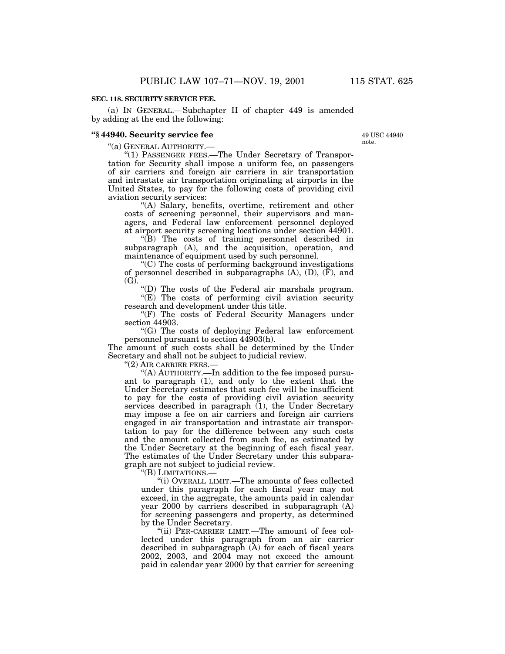## **SEC. 118. SECURITY SERVICE FEE.**

(a) IN GENERAL.—Subchapter II of chapter 449 is amended by adding at the end the following:

## **''§ 44940. Security service fee**

''(a) GENERAL AUTHORITY.—

''(1) PASSENGER FEES.—The Under Secretary of Transportation for Security shall impose a uniform fee, on passengers of air carriers and foreign air carriers in air transportation and intrastate air transportation originating at airports in the United States, to pay for the following costs of providing civil aviation security services:

''(A) Salary, benefits, overtime, retirement and other costs of screening personnel, their supervisors and managers, and Federal law enforcement personnel deployed at airport security screening locations under section 44901.

''(B) The costs of training personnel described in subparagraph (A), and the acquisition, operation, and maintenance of equipment used by such personnel.

''(C) The costs of performing background investigations of personnel described in subparagraphs  $(A)$ ,  $(D)$ ,  $(F)$ , and  $(G)$ .

''(D) The costs of the Federal air marshals program. "(E) The costs of performing civil aviation security

research and development under this title. "(F) The costs of Federal Security Managers under

section 44903. ''(G) The costs of deploying Federal law enforcement personnel pursuant to section 44903(h).

The amount of such costs shall be determined by the Under Secretary and shall not be subject to judicial review.

''(2) AIR CARRIER FEES.—

''(A) AUTHORITY.—In addition to the fee imposed pursuant to paragraph (1), and only to the extent that the Under Secretary estimates that such fee will be insufficient to pay for the costs of providing civil aviation security services described in paragraph (1), the Under Secretary may impose a fee on air carriers and foreign air carriers engaged in air transportation and intrastate air transportation to pay for the difference between any such costs and the amount collected from such fee, as estimated by the Under Secretary at the beginning of each fiscal year. The estimates of the Under Secretary under this subparagraph are not subject to judicial review.

''(B) LIMITATIONS.—

''(i) OVERALL LIMIT.—The amounts of fees collected under this paragraph for each fiscal year may not exceed, in the aggregate, the amounts paid in calendar year 2000 by carriers described in subparagraph (A) for screening passengers and property, as determined by the Under Secretary.

''(ii) PER-CARRIER LIMIT.—The amount of fees collected under this paragraph from an air carrier described in subparagraph  $(A)$  for each of fiscal years 2002, 2003, and 2004 may not exceed the amount paid in calendar year 2000 by that carrier for screening

49 USC 44940 note.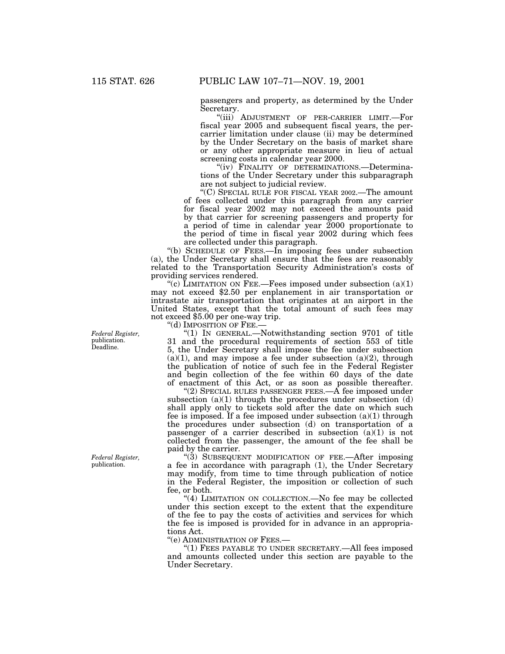passengers and property, as determined by the Under Secretary.

''(iii) ADJUSTMENT OF PER-CARRIER LIMIT.—For fiscal year 2005 and subsequent fiscal years, the percarrier limitation under clause (ii) may be determined by the Under Secretary on the basis of market share or any other appropriate measure in lieu of actual screening costs in calendar year 2000.

"(iv) FINALITY OF DETERMINATIONS.—Determinations of the Under Secretary under this subparagraph are not subject to judicial review.

''(C) SPECIAL RULE FOR FISCAL YEAR 2002.—The amount of fees collected under this paragraph from any carrier for fiscal year 2002 may not exceed the amounts paid by that carrier for screening passengers and property for a period of time in calendar year 2000 proportionate to the period of time in fiscal year 2002 during which fees are collected under this paragraph.

''(b) SCHEDULE OF FEES.—In imposing fees under subsection (a), the Under Secretary shall ensure that the fees are reasonably related to the Transportation Security Administration's costs of

providing services rendered.<br>
"(c) LIMITATION ON FEE.—Fees imposed under subsection (a)(1) may not exceed \$2.50 per enplanement in air transportation or intrastate air transportation that originates at an airport in the United States, except that the total amount of such fees may not exceed \$5.00 per one-way trip.

"(d) IMPOSITION OF FEE.-

''(1) IN GENERAL.—Notwithstanding section 9701 of title 31 and the procedural requirements of section 553 of title 5, the Under Secretary shall impose the fee under subsection  $(a)(1)$ , and may impose a fee under subsection  $(a)(2)$ , through the publication of notice of such fee in the Federal Register and begin collection of the fee within 60 days of the date of enactment of this Act, or as soon as possible thereafter.

"(2) SPECIAL RULES PASSENGER FEES.— $\overline{A}$  fee imposed under subsection  $(a)(1)$  through the procedures under subsection  $(d)$ shall apply only to tickets sold after the date on which such fee is imposed. If a fee imposed under subsection  $(a)(1)$  through the procedures under subsection (d) on transportation of a passenger of a carrier described in subsection  $(a)(1)$  is not collected from the passenger, the amount of the fee shall be paid by the carrier.

''(3) SUBSEQUENT MODIFICATION OF FEE.—After imposing a fee in accordance with paragraph (1), the Under Secretary may modify, from time to time through publication of notice in the Federal Register, the imposition or collection of such fee, or both.

"(4) LIMITATION ON COLLECTION.—No fee may be collected under this section except to the extent that the expenditure of the fee to pay the costs of activities and services for which the fee is imposed is provided for in advance in an appropriations Act.<br>"(e) ADMINISTRATION OF FEES.—

"(1) FEES PAYABLE TO UNDER SECRETARY.—All fees imposed and amounts collected under this section are payable to the Under Secretary.

*Federal Register,* publication. Deadline.

*Federal Register,* publication.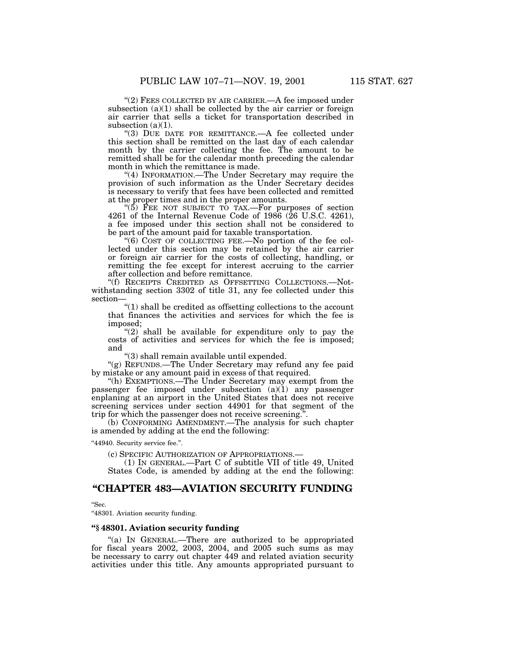"(2) FEES COLLECTED BY AIR CARRIER.—A fee imposed under subsection  $(a)(1)$  shall be collected by the air carrier or foreign air carrier that sells a ticket for transportation described in subsection  $(a)(1)$ .

"(3) DUE DATE FOR REMITTANCE.—A fee collected under this section shall be remitted on the last day of each calendar month by the carrier collecting the fee. The amount to be remitted shall be for the calendar month preceding the calendar

"(4) INFORMATION.—The Under Secretary may require the provision of such information as the Under Secretary decides is necessary to verify that fees have been collected and remitted

"(5) FEE NOT SUBJECT TO TAX.—For purposes of section 4261 of the Internal Revenue Code of  $1986$  (26 U.S.C. 4261), a fee imposed under this section shall not be considered to be part of the amount paid for taxable transportation.

"(6) COST OF COLLECTING FEE.—No portion of the fee collected under this section may be retained by the air carrier or foreign air carrier for the costs of collecting, handling, or remitting the fee except for interest accruing to the carrier after collection and before remittance.

''(f) RECEIPTS CREDITED AS OFFSETTING COLLECTIONS.—Notwithstanding section 3302 of title 31, any fee collected under this section—

 $\mathrm{``(1)}$  shall be credited as offsetting collections to the account that finances the activities and services for which the fee is imposed;

" $(2)$  shall be available for expenditure only to pay the costs of activities and services for which the fee is imposed; and

''(3) shall remain available until expended.

"(g) REFUNDS.—The Under Secretary may refund any fee paid by mistake or any amount paid in excess of that required.

''(h) EXEMPTIONS.—The Under Secretary may exempt from the passenger fee imposed under subsection  $(a)(1)$  any passenger enplaning at an airport in the United States that does not receive screening services under section 44901 for that segment of the trip for which the passenger does not receive screening.''.

(b) CONFORMING AMENDMENT.—The analysis for such chapter is amended by adding at the end the following:

''44940. Security service fee.''.

(c) SPECIFIC AUTHORIZATION OF APPROPRIATIONS.— (1) IN GENERAL.—Part C of subtitle VII of title 49, United States Code, is amended by adding at the end the following:

## **''CHAPTER 483—AVIATION SECURITY FUNDING**

''Sec.

"48301. Aviation security funding.

## **''§ 48301. Aviation security funding**

"(a) IN GENERAL.—There are authorized to be appropriated for fiscal years 2002, 2003, 2004, and 2005 such sums as may be necessary to carry out chapter 449 and related aviation security activities under this title. Any amounts appropriated pursuant to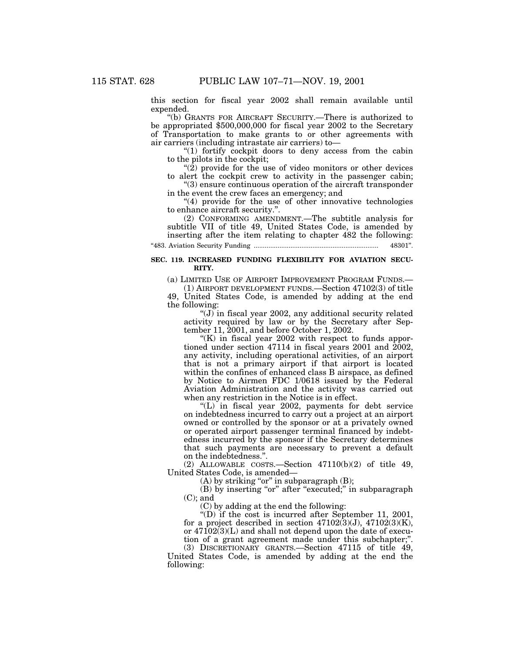this section for fiscal year 2002 shall remain available until expended.

''(b) GRANTS FOR AIRCRAFT SECURITY.—There is authorized to be appropriated \$500,000,000 for fiscal year 2002 to the Secretary of Transportation to make grants to or other agreements with air carriers (including intrastate air carriers) to—

''(1) fortify cockpit doors to deny access from the cabin to the pilots in the cockpit;

" $(2)$  provide for the use of video monitors or other devices" to alert the cockpit crew to activity in the passenger cabin;

''(3) ensure continuous operation of the aircraft transponder in the event the crew faces an emergency; and

''(4) provide for the use of other innovative technologies to enhance aircraft security.''.

(2) CONFORMING AMENDMENT.—The subtitle analysis for subtitle VII of title 49, United States Code, is amended by inserting after the item relating to chapter 482 the following:

''483. Aviation Security Funding .................................................................... 48301''.

## **SEC. 119. INCREASED FUNDING FLEXIBILITY FOR AVIATION SECU-RITY.**

(a) LIMITED USE OF AIRPORT IMPROVEMENT PROGRAM FUNDS.—

(1) AIRPORT DEVELOPMENT FUNDS.—Section 47102(3) of title 49, United States Code, is amended by adding at the end the following:

''(J) in fiscal year 2002, any additional security related activity required by law or by the Secretary after September 11, 2001, and before October 1, 2002.

" $(K)$  in fiscal year 2002 with respect to funds apportioned under section 47114 in fiscal years 2001 and 2002, any activity, including operational activities, of an airport that is not a primary airport if that airport is located within the confines of enhanced class B airspace, as defined by Notice to Airmen FDC 1/0618 issued by the Federal Aviation Administration and the activity was carried out when any restriction in the Notice is in effect.

''(L) in fiscal year 2002, payments for debt service on indebtedness incurred to carry out a project at an airport owned or controlled by the sponsor or at a privately owned or operated airport passenger terminal financed by indebtedness incurred by the sponsor if the Secretary determines that such payments are necessary to prevent a default on the indebtedness.''.

(2) ALLOWABLE COSTS.—Section 47110(b)(2) of title 49, United States Code, is amended—

 $(A)$  by striking "or" in subparagraph  $(B)$ ;

(B) by inserting "or" after "executed;" in subparagraph (C); and

(C) by adding at the end the following:

''(D) if the cost is incurred after September 11, 2001, for a project described in section  $47102(3)(J)$ ,  $47102(3)(K)$ , or 47102(3)(L) and shall not depend upon the date of execution of a grant agreement made under this subchapter;''.

(3) DISCRETIONARY GRANTS.—Section 47115 of title 49, United States Code, is amended by adding at the end the following: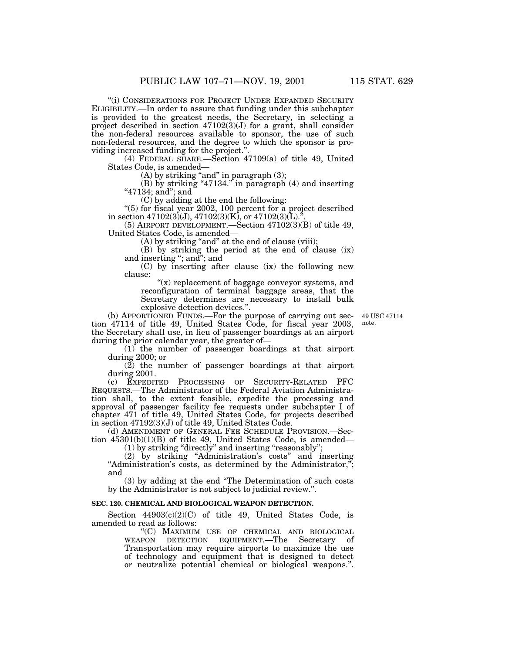''(i) CONSIDERATIONS FOR PROJECT UNDER EXPANDED SECURITY ELIGIBILITY.—In order to assure that funding under this subchapter is provided to the greatest needs, the Secretary, in selecting a project described in section 47102(3)(J) for a grant, shall consider the non-federal resources available to sponsor, the use of such non-federal resources, and the degree to which the sponsor is providing increased funding for the project.''.

(4) FEDERAL SHARE.—Section 47109(a) of title 49, United States Code, is amended—

 $(A)$  by striking "and" in paragraph  $(3)$ ;

(B) by striking "47134." in paragraph (4) and inserting "47134; and"; and

(C) by adding at the end the following:

''(5) for fiscal year 2002, 100 percent for a project described in section  $47102(3)(J)$ ,  $47102(3)(K)$ , or  $47102(3)(L)$ .".

(5) AIRPORT DEVELOPMENT.—Section 47102(3)(B) of title 49, United States Code, is amended—

 $(A)$  by striking "and" at the end of clause (viii);

(B) by striking the period at the end of clause (ix) and inserting ''; and''; and

(C) by inserting after clause (ix) the following new clause:

''(x) replacement of baggage conveyor systems, and reconfiguration of terminal baggage areas, that the Secretary determines are necessary to install bulk explosive detection devices.''.

(b) APPORTIONED FUNDS.—For the purpose of carrying out sec-49 USC 47114 tion 47114 of title 49, United States Code, for fiscal year 2003, the Secretary shall use, in lieu of passenger boardings at an airport during the prior calendar year, the greater of—

(1) the number of passenger boardings at that airport during 2000; or

(2) the number of passenger boardings at that airport during 2001.

(c) EXPEDITED PROCESSING OF SECURITY-RELATED PFC REQUESTS.—The Administrator of the Federal Aviation Administration shall, to the extent feasible, expedite the processing and approval of passenger facility fee requests under subchapter I of chapter 471 of title 49, United States Code, for projects described in section 47192(3)(J) of title 49, United States Code.

(d) AMENDMENT OF GENERAL FEE SCHEDULE PROVISION.—Section 45301(b)(1)(B) of title 49, United States Code, is amended—

(1) by striking ''directly'' and inserting ''reasonably'';

(2) by striking ''Administration's costs'' and inserting "Administration's costs, as determined by the Administrator,"; and

(3) by adding at the end ''The Determination of such costs by the Administrator is not subject to judicial review.''.

## **SEC. 120. CHEMICAL AND BIOLOGICAL WEAPON DETECTION.**

Section  $44903(c)(2)(C)$  of title 49, United States Code, is amended to read as follows:

> ''(C) MAXIMUM USE OF CHEMICAL AND BIOLOGICAL WEAPON DETECTION EQUIPMENT.—The Secretary of Transportation may require airports to maximize the use of technology and equipment that is designed to detect or neutralize potential chemical or biological weapons.''.

note.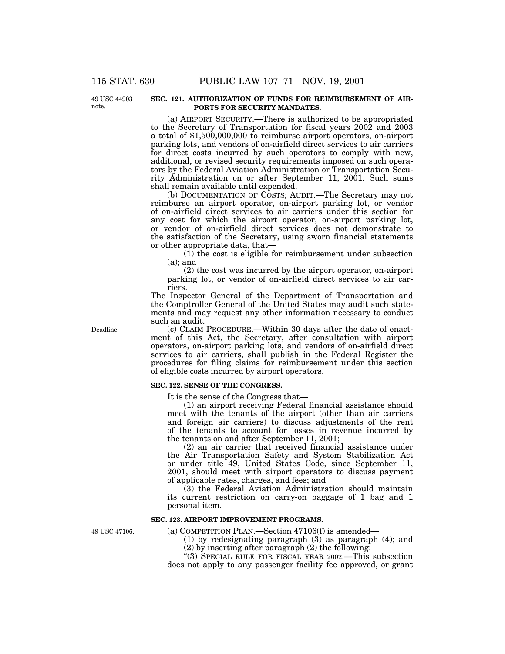49 USC 44903 note.

## **SEC. 121. AUTHORIZATION OF FUNDS FOR REIMBURSEMENT OF AIR-PORTS FOR SECURITY MANDATES.**

(a) AIRPORT SECURITY.—There is authorized to be appropriated to the Secretary of Transportation for fiscal years 2002 and 2003 a total of \$1,500,000,000 to reimburse airport operators, on-airport parking lots, and vendors of on-airfield direct services to air carriers for direct costs incurred by such operators to comply with new, additional, or revised security requirements imposed on such operators by the Federal Aviation Administration or Transportation Security Administration on or after September 11, 2001. Such sums shall remain available until expended.

(b) DOCUMENTATION OF COSTS; AUDIT. The Secretary may not reimburse an airport operator, on-airport parking lot, or vendor of on-airfield direct services to air carriers under this section for any cost for which the airport operator, on-airport parking lot, or vendor of on-airfield direct services does not demonstrate to the satisfaction of the Secretary, using sworn financial statements or other appropriate data, that—

 $(1)$  the cost is eligible for reimbursement under subsection  $(a)$ ; and

(2) the cost was incurred by the airport operator, on-airport parking lot, or vendor of on-airfield direct services to air carriers.

The Inspector General of the Department of Transportation and the Comptroller General of the United States may audit such statements and may request any other information necessary to conduct such an audit.

(c) CLAIM PROCEDURE.—Within 30 days after the date of enactment of this Act, the Secretary, after consultation with airport operators, on-airport parking lots, and vendors of on-airfield direct services to air carriers, shall publish in the Federal Register the procedures for filing claims for reimbursement under this section of eligible costs incurred by airport operators.

## **SEC. 122. SENSE OF THE CONGRESS.**

It is the sense of the Congress that—

(1) an airport receiving Federal financial assistance should meet with the tenants of the airport (other than air carriers and foreign air carriers) to discuss adjustments of the rent of the tenants to account for losses in revenue incurred by the tenants on and after September 11, 2001;

(2) an air carrier that received financial assistance under the Air Transportation Safety and System Stabilization Act or under title 49, United States Code, since September 11, 2001, should meet with airport operators to discuss payment of applicable rates, charges, and fees; and

(3) the Federal Aviation Administration should maintain its current restriction on carry-on baggage of 1 bag and 1 personal item.

#### **SEC. 123. AIRPORT IMPROVEMENT PROGRAMS.**

49 USC 47106.

(a) COMPETITION PLAN.—Section 47106(f) is amended—

(1) by redesignating paragraph (3) as paragraph (4); and

(2) by inserting after paragraph (2) the following:

''(3) SPECIAL RULE FOR FISCAL YEAR 2002.—This subsection does not apply to any passenger facility fee approved, or grant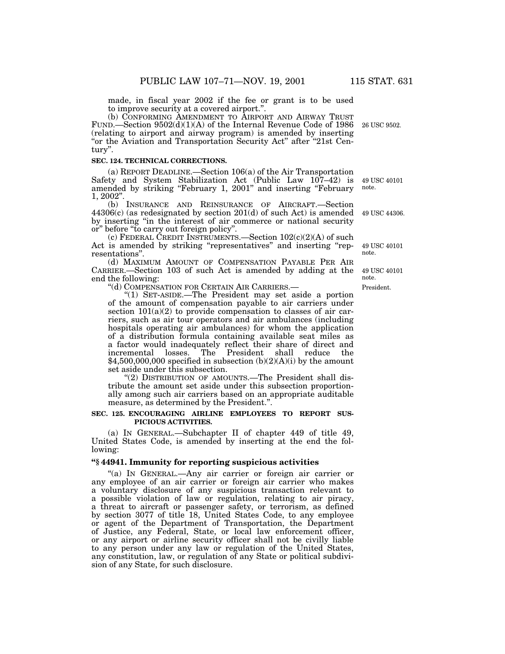made, in fiscal year 2002 if the fee or grant is to be used to improve security at a covered airport.".

(b) CONFORMING AMENDMENT TO AIRPORT AND AIRWAY TRUST FUND.—Section 9502(d)(1)(A) of the Internal Revenue Code of 1986 (relating to airport and airway program) is amended by inserting "or the Aviation and Transportation Security Act" after "21st Century''.

#### **SEC. 124. TECHNICAL CORRECTIONS.**

(a) REPORT DEADLINE.—Section 106(a) of the Air Transportation Safety and System Stabilization Act (Public Law 107–42) is amended by striking "February 1, 2001" and inserting "February

1, 2002". (b) INSURANCE AND REINSURANCE OF AIRCRAFT.—Section 44306(c) (as redesignated by section 201(d) of such Act) is amended by inserting "in the interest of air commerce or national security or" before "to carry out foreign policy".

 $\chi$ ) between the CREDIT INSTRUMENTS.—Section  $102(c)(2)(A)$  of such Act is amended by striking "representatives" and inserting "representations''.

(d) MAXIMUM AMOUNT OF COMPENSATION PAYABLE PER AIR CARRIER.—Section 103 of such Act is amended by adding at the end the following:

''(d) COMPENSATION FOR CERTAIN AIR CARRIERS.—

''(1) SET-ASIDE.—The President may set aside a portion of the amount of compensation payable to air carriers under section  $101(a)(2)$  to provide compensation to classes of air carriers, such as air tour operators and air ambulances (including hospitals operating air ambulances) for whom the application of a distribution formula containing available seat miles as a factor would inadequately reflect their share of direct and incremental losses. The President shall reduce the  $$4,500,000,000$  specified in subsection (b)(2)(A)(i) by the amount set aside under this subsection.

"(2) DISTRIBUTION OF AMOUNTS.—The President shall distribute the amount set aside under this subsection proportionally among such air carriers based on an appropriate auditable measure, as determined by the President.''.

## **SEC. 125. ENCOURAGING AIRLINE EMPLOYEES TO REPORT SUS-PICIOUS ACTIVITIES.**

(a) IN GENERAL.—Subchapter II of chapter 449 of title 49, United States Code, is amended by inserting at the end the following:

## **''§ 44941. Immunity for reporting suspicious activities**

''(a) IN GENERAL.—Any air carrier or foreign air carrier or any employee of an air carrier or foreign air carrier who makes a voluntary disclosure of any suspicious transaction relevant to a possible violation of law or regulation, relating to air piracy, a threat to aircraft or passenger safety, or terrorism, as defined by section 3077 of title 18, United States Code, to any employee or agent of the Department of Transportation, the Department of Justice, any Federal, State, or local law enforcement officer, or any airport or airline security officer shall not be civilly liable to any person under any law or regulation of the United States, any constitution, law, or regulation of any State or political subdivision of any State, for such disclosure.

26 USC 9502.

49 USC 40101 note.

49 USC 44306.

49 USC 40101 note.

49 USC 40101 note.

President.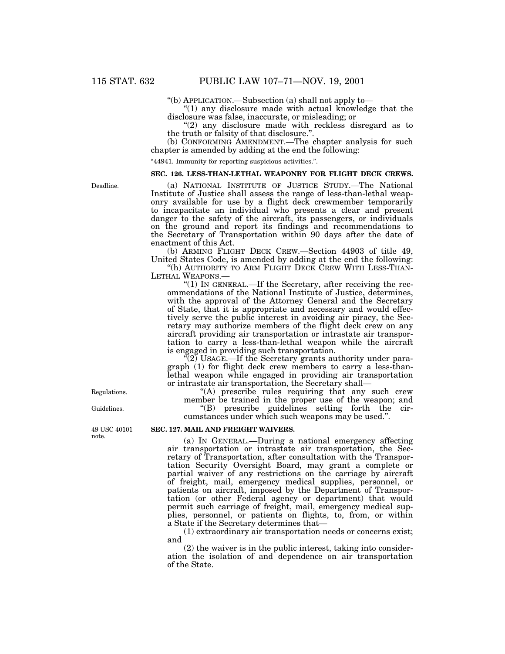''(b) APPLICATION.—Subsection (a) shall not apply to— ''(1) any disclosure made with actual knowledge that the

" $(2)$  any disclosure made with reckless disregard as to the truth or falsity of that disclosure."

(b) CONFORMING AMENDMENT.—The chapter analysis for such chapter is amended by adding at the end the following:

''44941. Immunity for reporting suspicious activities.''.

#### **SEC. 126. LESS-THAN-LETHAL WEAPONRY FOR FLIGHT DECK CREWS.**

(a) NATIONAL INSTITUTE OF JUSTICE STUDY.—The National Institute of Justice shall assess the range of less-than-lethal weaponry available for use by a flight deck crewmember temporarily to incapacitate an individual who presents a clear and present danger to the safety of the aircraft, its passengers, or individuals on the ground and report its findings and recommendations to the Secretary of Transportation within 90 days after the date of enactment of this Act.

(b) ARMING FLIGHT DECK CREW.—Section 44903 of title 49, United States Code, is amended by adding at the end the following:

"(h) AUTHORITY TO ARM FLIGHT DECK CREW WITH LESS-THAN-LETHAL WEAPONS.—

" $(1)$  In GENERAL.—If the Secretary, after receiving the recommendations of the National Institute of Justice, determines, with the approval of the Attorney General and the Secretary of State, that it is appropriate and necessary and would effectively serve the public interest in avoiding air piracy, the Secretary may authorize members of the flight deck crew on any aircraft providing air transportation or intrastate air transportation to carry a less-than-lethal weapon while the aircraft is engaged in providing such transportation.

 $\Gamma$ (2) USAGE.—If the Secretary grants authority under paragraph (1) for flight deck crew members to carry a less-thanlethal weapon while engaged in providing air transportation

"(A) prescribe rules requiring that any such crew member be trained in the proper use of the weapon; and "(B) prescribe guidelines setting forth the circumstances under which such weapons may be used.''.

#### **SEC. 127. MAIL AND FREIGHT WAIVERS.**

(a) IN GENERAL.—During a national emergency affecting air transportation or intrastate air transportation, the Secretary of Transportation, after consultation with the Transportation Security Oversight Board, may grant a complete or partial waiver of any restrictions on the carriage by aircraft of freight, mail, emergency medical supplies, personnel, or patients on aircraft, imposed by the Department of Transportation (or other Federal agency or department) that would permit such carriage of freight, mail, emergency medical supplies, personnel, or patients on flights, to, from, or within a State if the Secretary determines that—

 $(1)$  extraordinary air transportation needs or concerns exist; and

(2) the waiver is in the public interest, taking into consideration the isolation of and dependence on air transportation of the State.

Regulations.

Guidelines.

49 USC 40101 note.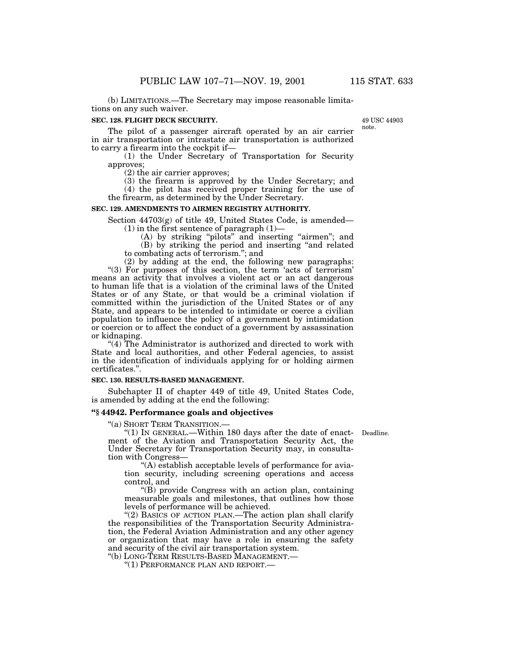(b) LIMITATIONS.—The Secretary may impose reasonable limitations on any such waiver.

## **SEC. 128. FLIGHT DECK SECURITY.**

49 USC 44903 note.

The pilot of a passenger aircraft operated by an air carrier in air transportation or intrastate air transportation is authorized to carry a firearm into the cockpit if— (1) the Under Secretary of Transportation for Security

approves;

(2) the air carrier approves;

(3) the firearm is approved by the Under Secretary; and (4) the pilot has received proper training for the use of

the firearm, as determined by the Under Secretary.

## **SEC. 129. AMENDMENTS TO AIRMEN REGISTRY AUTHORITY.**

Section  $44703(g)$  of title 49, United States Code, is amended—

 $(1)$  in the first sentence of paragraph  $(1)$ –

(A) by striking "pilots" and inserting "airmen"; and (B) by striking the period and inserting ''and related to combating acts of terrorism.''; and

(2) by adding at the end, the following new paragraphs: "(3) For purposes of this section, the term 'acts of terrorism' means an activity that involves a violent act or an act dangerous to human life that is a violation of the criminal laws of the United States or of any State, or that would be a criminal violation if committed within the jurisdiction of the United States or of any State, and appears to be intended to intimidate or coerce a civilian population to influence the policy of a government by intimidation or coercion or to affect the conduct of a government by assassination or kidnaping.

''(4) The Administrator is authorized and directed to work with State and local authorities, and other Federal agencies, to assist in the identification of individuals applying for or holding airmen certificates.''.

## **SEC. 130. RESULTS-BASED MANAGEMENT.**

Subchapter II of chapter 449 of title 49, United States Code, is amended by adding at the end the following:

## **''§ 44942. Performance goals and objectives**

''(a) SHORT TERM TRANSITION.—

" $(1)$  In GENERAL.—Within 180 days after the date of enact- Deadline. ment of the Aviation and Transportation Security Act, the Under Secretary for Transportation Security may, in consultation with Congress—

''(A) establish acceptable levels of performance for aviation security, including screening operations and access control, and

''(B) provide Congress with an action plan, containing measurable goals and milestones, that outlines how those levels of performance will be achieved.

"(2) BASICS OF ACTION PLAN.—The action plan shall clarify the responsibilities of the Transportation Security Administration, the Federal Aviation Administration and any other agency or organization that may have a role in ensuring the safety and security of the civil air transportation system.

''(b) LONG-TERM RESULTS-BASED MANAGEMENT.— ''(1) PERFORMANCE PLAN AND REPORT.—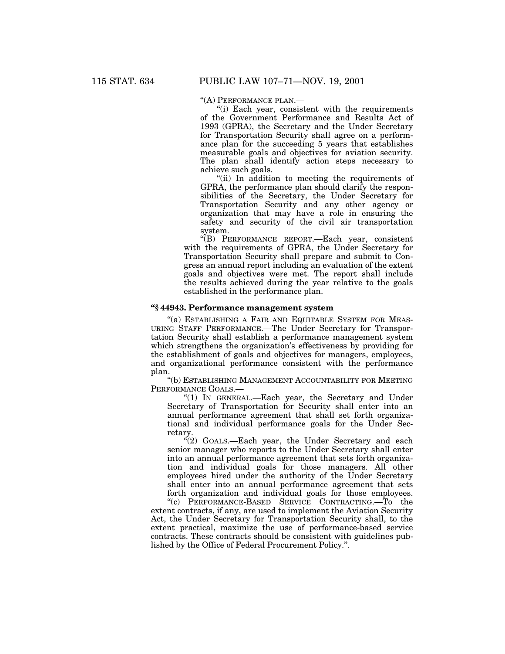''(A) PERFORMANCE PLAN.—

''(i) Each year, consistent with the requirements of the Government Performance and Results Act of 1993 (GPRA), the Secretary and the Under Secretary for Transportation Security shall agree on a performance plan for the succeeding 5 years that establishes measurable goals and objectives for aviation security. The plan shall identify action steps necessary to achieve such goals.

''(ii) In addition to meeting the requirements of GPRA, the performance plan should clarify the responsibilities of the Secretary, the Under Secretary for Transportation Security and any other agency or organization that may have a role in ensuring the safety and security of the civil air transportation system.

''(B) PERFORMANCE REPORT.—Each year, consistent with the requirements of GPRA, the Under Secretary for Transportation Security shall prepare and submit to Congress an annual report including an evaluation of the extent goals and objectives were met. The report shall include the results achieved during the year relative to the goals established in the performance plan.

## **''§ 44943. Performance management system**

"(a) ESTABLISHING A FAIR AND EQUITABLE SYSTEM FOR MEAS-URING STAFF PERFORMANCE.—The Under Secretary for Transportation Security shall establish a performance management system which strengthens the organization's effectiveness by providing for the establishment of goals and objectives for managers, employees, and organizational performance consistent with the performance plan.

''(b) ESTABLISHING MANAGEMENT ACCOUNTABILITY FOR MEETING PERFORMANCE GOALS.—

''(1) IN GENERAL.—Each year, the Secretary and Under Secretary of Transportation for Security shall enter into an annual performance agreement that shall set forth organizational and individual performance goals for the Under Secretary.

 $(2)$  GOALS.—Each year, the Under Secretary and each senior manager who reports to the Under Secretary shall enter into an annual performance agreement that sets forth organization and individual goals for those managers. All other employees hired under the authority of the Under Secretary shall enter into an annual performance agreement that sets forth organization and individual goals for those employees.

''(c) PERFORMANCE-BASED SERVICE CONTRACTING.—To the extent contracts, if any, are used to implement the Aviation Security Act, the Under Secretary for Transportation Security shall, to the extent practical, maximize the use of performance-based service contracts. These contracts should be consistent with guidelines published by the Office of Federal Procurement Policy.''.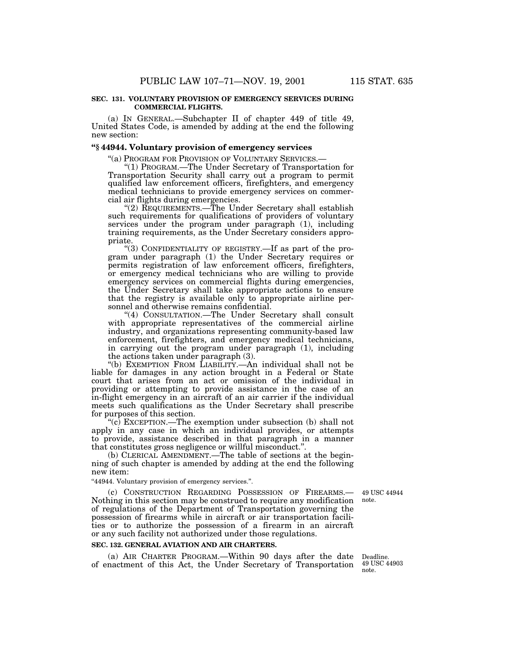## **SEC. 131. VOLUNTARY PROVISION OF EMERGENCY SERVICES DURING COMMERCIAL FLIGHTS.**

(a) IN GENERAL.—Subchapter II of chapter 449 of title 49, United States Code, is amended by adding at the end the following new section:

## **''§ 44944. Voluntary provision of emergency services**

''(a) PROGRAM FOR PROVISION OF VOLUNTARY SERVICES.— ''(1) PROGRAM.—The Under Secretary of Transportation for Transportation Security shall carry out a program to permit qualified law enforcement officers, firefighters, and emergency medical technicians to provide emergency services on commercial air flights during emergencies.  $\degree$ (2) REQUIREMENTS.—The Under Secretary shall establish

such requirements for qualifications of providers of voluntary services under the program under paragraph (1), including training requirements, as the Under Secretary considers appro-

priate.<br>
"(3) CONFIDENTIALITY OF REGISTRY.—If as part of the program under paragraph (1) the Under Secretary requires or permits registration of law enforcement officers, firefighters, or emergency medical technicians who are willing to provide emergency services on commercial flights during emergencies, the Under Secretary shall take appropriate actions to ensure that the registry is available only to appropriate airline personnel and otherwise remains confidential.

"(4) CONSULTATION.—The Under Secretary shall consult with appropriate representatives of the commercial airline industry, and organizations representing community-based law enforcement, firefighters, and emergency medical technicians, in carrying out the program under paragraph (1), including the actions taken under paragraph (3).

''(b) EXEMPTION FROM LIABILITY.—An individual shall not be liable for damages in any action brought in a Federal or State court that arises from an act or omission of the individual in providing or attempting to provide assistance in the case of an in-flight emergency in an aircraft of an air carrier if the individual meets such qualifications as the Under Secretary shall prescribe for purposes of this section.

''(c) EXCEPTION.—The exemption under subsection (b) shall not apply in any case in which an individual provides, or attempts to provide, assistance described in that paragraph in a manner that constitutes gross negligence or willful misconduct.''.

(b) CLERICAL AMENDMENT.—The table of sections at the beginning of such chapter is amended by adding at the end the following new item:

''44944. Voluntary provision of emergency services.''.

(c) CONSTRUCTION REGARDING POSSESSION OF FIREARMS.— Nothing in this section may be construed to require any modification of regulations of the Department of Transportation governing the possession of firearms while in aircraft or air transportation facilities or to authorize the possession of a firearm in an aircraft or any such facility not authorized under those regulations.

#### **SEC. 132. GENERAL AVIATION AND AIR CHARTERS.**

(a) AIR CHARTER PROGRAM.—Within 90 days after the date of enactment of this Act, the Under Secretary of Transportation

49 USC 44944 note.

Deadline. 49 USC 44903 note.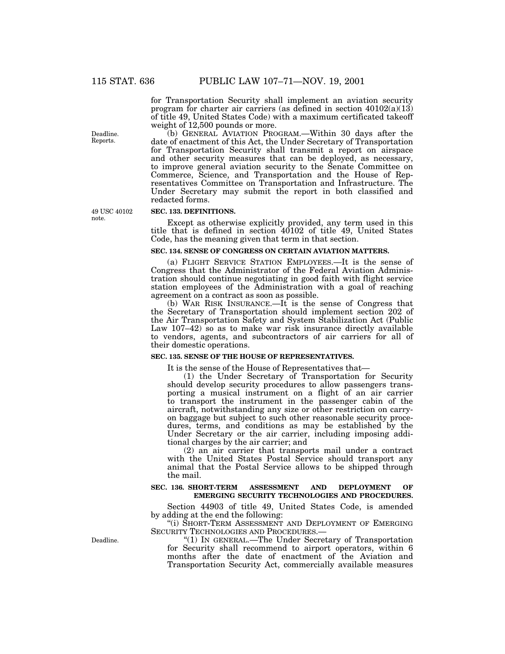for Transportation Security shall implement an aviation security program for charter air carriers (as defined in section  $40102(a)(13)$ ) of title 49, United States Code) with a maximum certificated takeoff weight of 12,500 pounds or more.

(b) GENERAL AVIATION PROGRAM.—Within 30 days after the date of enactment of this Act, the Under Secretary of Transportation for Transportation Security shall transmit a report on airspace and other security measures that can be deployed, as necessary, to improve general aviation security to the Senate Committee on Commerce, Science, and Transportation and the House of Representatives Committee on Transportation and Infrastructure. The Under Secretary may submit the report in both classified and redacted forms.

#### **SEC. 133. DEFINITIONS.**

Except as otherwise explicitly provided, any term used in this title that is defined in section 40102 of title 49, United States Code, has the meaning given that term in that section.

## **SEC. 134. SENSE OF CONGRESS ON CERTAIN AVIATION MATTERS.**

(a) FLIGHT SERVICE STATION EMPLOYEES.—It is the sense of Congress that the Administrator of the Federal Aviation Administration should continue negotiating in good faith with flight service station employees of the Administration with a goal of reaching agreement on a contract as soon as possible.

(b) WAR RISK INSURANCE.—It is the sense of Congress that the Secretary of Transportation should implement section 202 of the Air Transportation Safety and System Stabilization Act (Public Law 107–42) so as to make war risk insurance directly available to vendors, agents, and subcontractors of air carriers for all of their domestic operations.

#### **SEC. 135. SENSE OF THE HOUSE OF REPRESENTATIVES.**

It is the sense of the House of Representatives that—

(1) the Under Secretary of Transportation for Security should develop security procedures to allow passengers transporting a musical instrument on a flight of an air carrier to transport the instrument in the passenger cabin of the aircraft, notwithstanding any size or other restriction on carryon baggage but subject to such other reasonable security procedures, terms, and conditions as may be established by the Under Secretary or the air carrier, including imposing additional charges by the air carrier; and

(2) an air carrier that transports mail under a contract with the United States Postal Service should transport any animal that the Postal Service allows to be shipped through the mail.

## **SEC. 136. SHORT-TERM ASSESSMENT AND DEPLOYMENT OF EMERGING SECURITY TECHNOLOGIES AND PROCEDURES.**

Section 44903 of title 49, United States Code, is amended by adding at the end the following:

"(i) SHORT-TERM ASSESSMENT AND DEPLOYMENT OF EMERGING SECURITY TECHNOLOGIES AND PROCEDURES.—

"(1) IN GENERAL.—The Under Secretary of Transportation for Security shall recommend to airport operators, within 6 months after the date of enactment of the Aviation and Transportation Security Act, commercially available measures

49 USC 40102 note.

Deadline. Reports.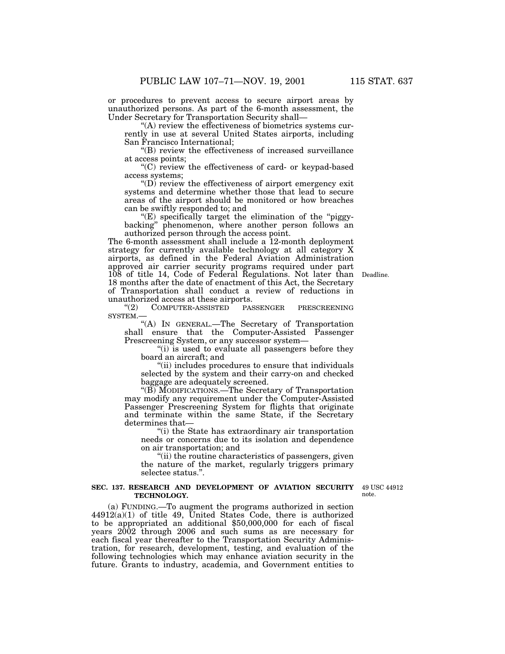or procedures to prevent access to secure airport areas by unauthorized persons. As part of the 6-month assessment, the Under Secretary for Transportation Security shall—

''(A) review the effectiveness of biometrics systems currently in use at several United States airports, including San Francisco International;

''(B) review the effectiveness of increased surveillance at access points;

''(C) review the effectiveness of card- or keypad-based

access systems;<br>"(D) review the effectiveness of airport emergency exit systems and determine whether those that lead to secure areas of the airport should be monitored or how breaches

" $(E)$  specifically target the elimination of the "piggybacking'' phenomenon, where another person follows an authorized person through the access point.

The 6-month assessment shall include a 12-month deployment strategy for currently available technology at all category X airports, as defined in the Federal Aviation Administration approved air carrier security programs required under part 108 of title 14, Code of Federal Regulations. Not later than Deadline. 18 months after the date of enactment of this Act, the Secretary of Transportation shall conduct a review of reductions in unauthorized access at these airports.<br>
"(2) COMPUTER-ASSISTED PASSENGER

COMPUTER-ASSISTED PASSENGER PRESCREENING SYSTEM.—

''(A) IN GENERAL.—The Secretary of Transportation shall ensure that the Computer-Assisted Passenger Prescreening System, or any successor system—

"(i) is used to evaluate all passengers before they board an aircraft; and

"(ii) includes procedures to ensure that individuals selected by the system and their carry-on and checked baggage are adequately screened.

''(B) MODIFICATIONS.—The Secretary of Transportation may modify any requirement under the Computer-Assisted Passenger Prescreening System for flights that originate and terminate within the same State, if the Secretary determines that—

"(i) the State has extraordinary air transportation needs or concerns due to its isolation and dependence on air transportation; and

"(ii) the routine characteristics of passengers, given the nature of the market, regularly triggers primary selectee status.''.

## **SEC. 137. RESEARCH AND DEVELOPMENT OF AVIATION SECURITY TECHNOLOGY.**

(a) FUNDING.—To augment the programs authorized in section 44912(a)(1) of title 49, United States Code, there is authorized to be appropriated an additional \$50,000,000 for each of fiscal years 2002 through 2006 and such sums as are necessary for each fiscal year thereafter to the Transportation Security Administration, for research, development, testing, and evaluation of the following technologies which may enhance aviation security in the future. Grants to industry, academia, and Government entities to

49 USC 44912 note.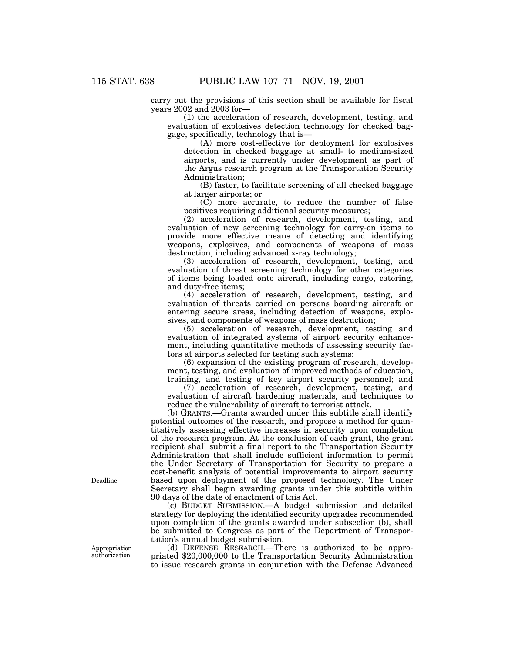carry out the provisions of this section shall be available for fiscal years 2002 and 2003 for—

(1) the acceleration of research, development, testing, and evaluation of explosives detection technology for checked baggage, specifically, technology that is—

(A) more cost-effective for deployment for explosives detection in checked baggage at small- to medium-sized airports, and is currently under development as part of the Argus research program at the Transportation Security Administration;

(B) faster, to facilitate screening of all checked baggage at larger airports; or

(C) more accurate, to reduce the number of false positives requiring additional security measures;

(2) acceleration of research, development, testing, and evaluation of new screening technology for carry-on items to provide more effective means of detecting and identifying weapons, explosives, and components of weapons of mass destruction, including advanced x-ray technology;

(3) acceleration of research, development, testing, and evaluation of threat screening technology for other categories of items being loaded onto aircraft, including cargo, catering, and duty-free items;

(4) acceleration of research, development, testing, and evaluation of threats carried on persons boarding aircraft or entering secure areas, including detection of weapons, explosives, and components of weapons of mass destruction;

(5) acceleration of research, development, testing and evaluation of integrated systems of airport security enhancement, including quantitative methods of assessing security factors at airports selected for testing such systems;

(6) expansion of the existing program of research, development, testing, and evaluation of improved methods of education, training, and testing of key airport security personnel; and

(7) acceleration of research, development, testing, and evaluation of aircraft hardening materials, and techniques to reduce the vulnerability of aircraft to terrorist attack.

(b) GRANTS.—Grants awarded under this subtitle shall identify potential outcomes of the research, and propose a method for quantitatively assessing effective increases in security upon completion of the research program. At the conclusion of each grant, the grant recipient shall submit a final report to the Transportation Security Administration that shall include sufficient information to permit the Under Secretary of Transportation for Security to prepare a cost-benefit analysis of potential improvements to airport security based upon deployment of the proposed technology. The Under Secretary shall begin awarding grants under this subtitle within 90 days of the date of enactment of this Act.

(c) BUDGET SUBMISSION.—A budget submission and detailed strategy for deploying the identified security upgrades recommended upon completion of the grants awarded under subsection (b), shall be submitted to Congress as part of the Department of Transportation's annual budget submission.

(d) DEFENSE RESEARCH.—There is authorized to be appropriated \$20,000,000 to the Transportation Security Administration to issue research grants in conjunction with the Defense Advanced

Deadline.

Appropriation authorization.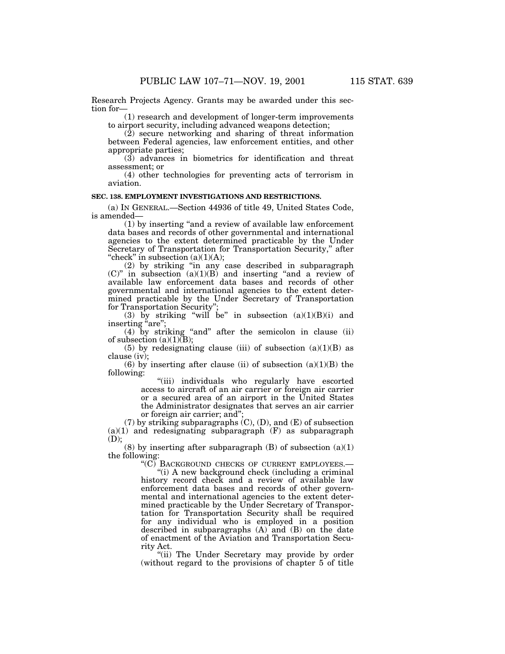Research Projects Agency. Grants may be awarded under this section for—

(1) research and development of longer-term improvements to airport security, including advanced weapons detection;

(2) secure networking and sharing of threat information between Federal agencies, law enforcement entities, and other appropriate parties;

(3) advances in biometrics for identification and threat assessment; or

(4) other technologies for preventing acts of terrorism in aviation.

## **SEC. 138. EMPLOYMENT INVESTIGATIONS AND RESTRICTIONS.**

(a) IN GENERAL.—Section 44936 of title 49, United States Code,

 $(1)$  by inserting "and a review of available law enforcement data bases and records of other governmental and international agencies to the extent determined practicable by the Under<br>Secretary of Transportation for Transportation Security," after Secretary of Transportation for Transportation Security," after "check" in subsection (a)(1)(A);

(2) by striking ''in any case described in subparagraph  $(C)$ " in subsection  $(a)(1)(B)$  and inserting "and a review of available law enforcement data bases and records of other governmental and international agencies to the extent determined practicable by the Under Secretary of Transportation for Transportation Security'

(3) by striking "will be" in subsection  $(a)(1)(B)(i)$  and inserting "are";

(4) by striking ''and'' after the semicolon in clause (ii) of subsection  $(a)(1)(B)$ ;

(5) by redesignating clause (iii) of subsection  $(a)(1)(B)$  as clause (iv);

(6) by inserting after clause (ii) of subsection  $(a)(1)(B)$  the following:

> ''(iii) individuals who regularly have escorted access to aircraft of an air carrier or foreign air carrier or a secured area of an airport in the United States the Administrator designates that serves an air carrier or foreign air carrier; and'';

(7) by striking subparagraphs (C), (D), and (E) of subsection  $(a)(1)$  and redesignating subparagraph  $(F)$  as subparagraph (D);

(8) by inserting after subparagraph  $(B)$  of subsection  $(a)(1)$ the following:

" $(C)$  BACKGROUND CHECKS OF CURRENT EMPLOYEES.—

''(i) A new background check (including a criminal history record check and a review of available law enforcement data bases and records of other governmental and international agencies to the extent determined practicable by the Under Secretary of Transportation for Transportation Security shall be required for any individual who is employed in a position described in subparagraphs (A) and (B) on the date of enactment of the Aviation and Transportation Security Act.

"(ii) The Under Secretary may provide by order (without regard to the provisions of chapter 5 of title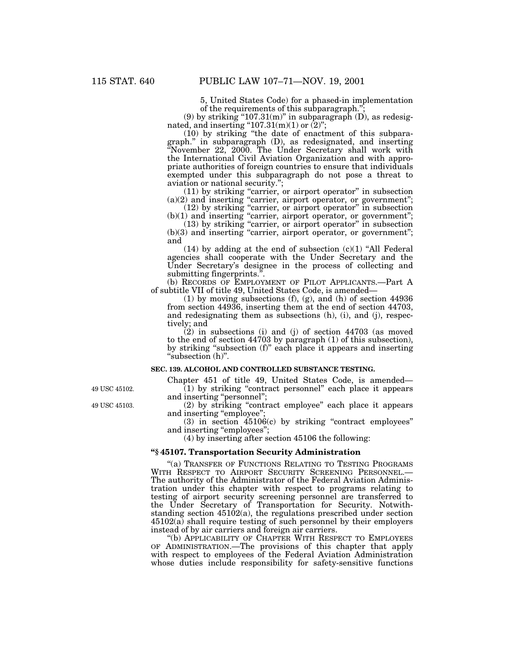5, United States Code) for a phased-in implementation of the requirements of this subparagraph.'';

(9) by striking "107.31(m)" in subparagraph  $(D)$ , as redesignated, and inserting " $107.31(m)(1)$  or  $(2)$ ";

(10) by striking ''the date of enactment of this subparagraph.'' in subparagraph (D), as redesignated, and inserting ''November 22, 2000. The Under Secretary shall work with the International Civil Aviation Organization and with appropriate authorities of foreign countries to ensure that individuals exempted under this subparagraph do not pose a threat to aviation or national security.'';

(11) by striking ''carrier, or airport operator'' in subsection  $(a)(2)$  and inserting "carrier, airport operator, or government";

(12) by striking ''carrier, or airport operator'' in subsection  $(b)(1)$  and inserting "carrier, airport operator, or government";  $(13)$  by striking "carrier, or airport operator" in subsection

 $(b)(3)$  and inserting "carrier, airport operator, or government"; and

 $(14)$  by adding at the end of subsection  $(c)(1)$  "All Federal agencies shall cooperate with the Under Secretary and the Under Secretary's designee in the process of collecting and submitting fingerprints.".

(b) RECORDS OF EMPLOYMENT OF PILOT APPLICANTS.—Part A of subtitle VII of title 49, United States Code, is amended—

(1) by moving subsections (f), (g), and (h) of section 44936 from section 44936, inserting them at the end of section 44703, and redesignating them as subsections (h), (i), and (j), respectively; and

(2) in subsections (i) and (j) of section 44703 (as moved to the end of section 44703 by paragraph (1) of this subsection), by striking "subsection (f)" each place it appears and inserting ''subsection (h)''.

## **SEC. 139. ALCOHOL AND CONTROLLED SUBSTANCE TESTING.**

Chapter 451 of title 49, United States Code, is amended—  $(1)$  by striking "contract personnel" each place it appears and inserting "personnel";

(2) by striking ''contract employee'' each place it appears and inserting "employee";

(3) in section 45106(c) by striking ''contract employees'' and inserting "employees";

(4) by inserting after section 45106 the following:

## **''§ 45107. Transportation Security Administration**

"(a) TRANSFER OF FUNCTIONS RELATING TO TESTING PROGRAMS WITH RESPECT TO AIRPORT SECURITY SCREENING PERSONNEL.— The authority of the Administrator of the Federal Aviation Administration under this chapter with respect to programs relating to testing of airport security screening personnel are transferred to the Under Secretary of Transportation for Security. Notwithstanding section 45102(a), the regulations prescribed under section 45102(a) shall require testing of such personnel by their employers instead of by air carriers and foreign air carriers.

''(b) APPLICABILITY OF CHAPTER WITH RESPECT TO EMPLOYEES OF ADMINISTRATION.—The provisions of this chapter that apply with respect to employees of the Federal Aviation Administration whose duties include responsibility for safety-sensitive functions

49 USC 45102.

49 USC 45103.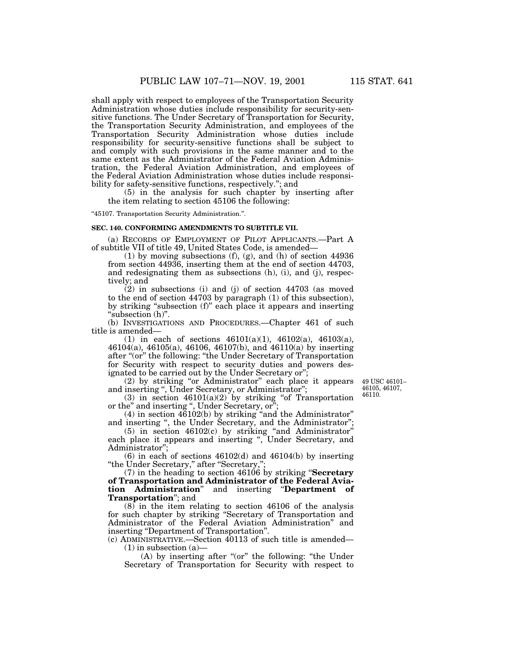shall apply with respect to employees of the Transportation Security Administration whose duties include responsibility for security-sensitive functions. The Under Secretary of Transportation for Security, the Transportation Security Administration, and employees of the Transportation Security Administration whose duties include responsibility for security-sensitive functions shall be subject to and comply with such provisions in the same manner and to the same extent as the Administrator of the Federal Aviation Administration, the Federal Aviation Administration, and employees of the Federal Aviation Administration whose duties include responsibility for safety-sensitive functions, respectively.''; and

(5) in the analysis for such chapter by inserting after the item relating to section 45106 the following:

''45107. Transportation Security Administration.''.

#### **SEC. 140. CONFORMING AMENDMENTS TO SUBTITLE VII.**

(a) RECORDS OF EMPLOYMENT OF PILOT APPLICANTS.—Part A of subtitle VII of title 49, United States Code, is amended—

(1) by moving subsections (f), (g), and (h) of section 44936 from section 44936, inserting them at the end of section 44703, and redesignating them as subsections (h), (i), and (j), respectively; and

(2) in subsections (i) and (j) of section 44703 (as moved to the end of section 44703 by paragraph (1) of this subsection), by striking ''subsection (f)'' each place it appears and inserting ''subsection (h)''.

(b) INVESTIGATIONS AND PROCEDURES.—Chapter 461 of such title is amended—

(1) in each of sections 46101(a)(1), 46102(a), 46103(a), 46104(a), 46105(a), 46106, 46107(b), and 46110(a) by inserting after "(or" the following: "the Under Secretary of Transportation for Security with respect to security duties and powers designated to be carried out by the Under Secretary or'';

(2) by striking ''or Administrator'' each place it appears and inserting '', Under Secretary, or Administrator'';

49 USC 46101– 46105, 46107, 46110.

(3) in section  $46101(a)(2)$  by striking "of Transportation or the'' and inserting '', Under Secretary, or'';

 $(4)$  in section  $46102(b)$  by striking "and the Administrator" and inserting ", the Under Secretary, and the Administrator";

 $(5)$  in section  $46102(c)$  by striking "and Administrator" each place it appears and inserting ", Under Secretary, and Administrator'';

(6) in each of sections 46102(d) and 46104(b) by inserting "the Under Secretary," after "Secretary,"

(7) in the heading to section 46106 by striking ''**Secretary of Transportation and Administrator of the Federal Aviation Administration**'' and inserting ''**Department of Transportation**''; and

 $(8)$  in the item relating to section 46106 of the analysis for such chapter by striking ''Secretary of Transportation and Administrator of the Federal Aviation Administration'' and inserting ''Department of Transportation''.

(c) ADMINISTRATIVE.—Section 40113 of such title is amended—  $(1)$  in subsection  $(a)$ 

(A) by inserting after "(or" the following: "the Under Secretary of Transportation for Security with respect to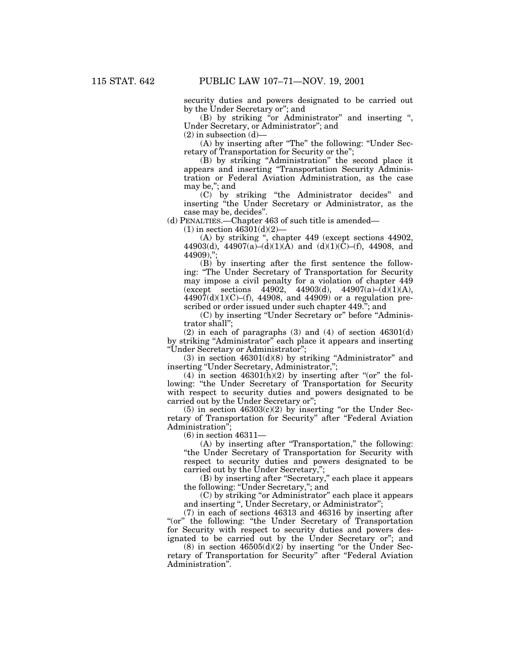security duties and powers designated to be carried out by the Under Secretary or''; and

(B) by striking "or Administrator" and inserting ", Under Secretary, or Administrator''; and

 $(2)$  in subsection  $(d)$ —

(A) by inserting after ''The'' the following: ''Under Secretary of Transportation for Security or the'';

(B) by striking "Administration" the second place it appears and inserting ''Transportation Security Administration or Federal Aviation Administration, as the case may be,''; and

(C) by striking ''the Administrator decides'' and inserting ''the Under Secretary or Administrator, as the case may be, decides''.

(d) PENALTIES.—Chapter 463 of such title is amended—

 $(1)$  in section 46301 $(d)(2)$ 

(A) by striking '', chapter 449 (except sections 44902, 44903(d), 44907(a)–(d)(1)(A) and (d)(1)(C)–(f), 44908, and 44909),'';

(B) by inserting after the first sentence the following: ''The Under Secretary of Transportation for Security may impose a civil penalty for a violation of chapter 449 (except sections 44902, 44903(d), 44907(a)–(d)(1)(A),  $44907(d)(1)(C)–(f)$ ,  $44908$ , and  $44909$  or a regulation prescribed or order issued under such chapter 449."; and

(C) by inserting ''Under Secretary or'' before ''Administrator shall'';

 $(2)$  in each of paragraphs  $(3)$  and  $(4)$  of section 46301 $(d)$ by striking "Administrator" each place it appears and inserting ''Under Secretary or Administrator'';

(3) in section  $46301(d)(8)$  by striking "Administrator" and inserting ''Under Secretary, Administrator,'';

(4) in section  $46301(h)(2)$  by inserting after "(or" the following: "the Under Secretary of Transportation for Security with respect to security duties and powers designated to be carried out by the Under Secretary or'';

(5) in section  $46303(c)(2)$  by inserting "or the Under Secretary of Transportation for Security" after "Federal Aviation Administration'';

(6) in section 46311—

(A) by inserting after "Transportation," the following: ''the Under Secretary of Transportation for Security with respect to security duties and powers designated to be carried out by the Under Secretary,'';

(B) by inserting after ''Secretary,'' each place it appears the following: ''Under Secretary,''; and

(C) by striking ''or Administrator'' each place it appears and inserting '', Under Secretary, or Administrator'';

(7) in each of sections 46313 and 46316 by inserting after "(or" the following: "the Under Secretary of Transportation") for Security with respect to security duties and powers designated to be carried out by the Under Secretary or''; and

 $(8)$  in section  $46505(d)(2)$  by inserting "or the Under Secretary of Transportation for Security" after "Federal Aviation Administration''.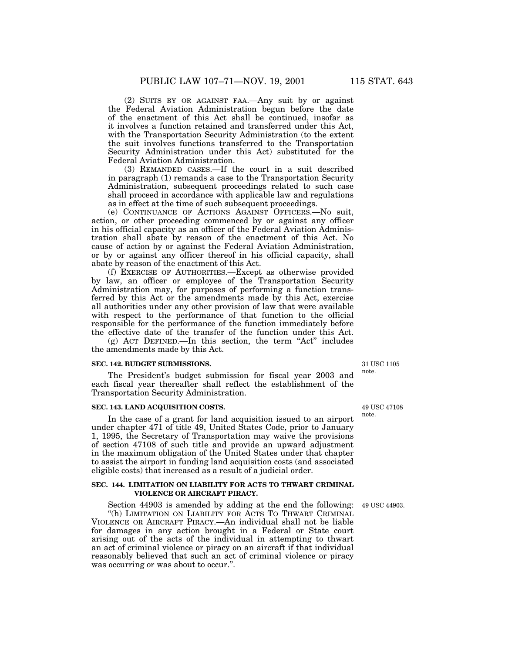(2) SUITS BY OR AGAINST FAA.—Any suit by or against the Federal Aviation Administration begun before the date of the enactment of this Act shall be continued, insofar as it involves a function retained and transferred under this Act, with the Transportation Security Administration (to the extent the suit involves functions transferred to the Transportation Security Administration under this Act) substituted for the Federal Aviation Administration.

(3) REMANDED CASES.—If the court in a suit described in paragraph (1) remands a case to the Transportation Security Administration, subsequent proceedings related to such case shall proceed in accordance with applicable law and regulations as in effect at the time of such subsequent proceedings.

(e) CONTINUANCE OF ACTIONS AGAINST OFFICERS.—No suit, action, or other proceeding commenced by or against any officer in his official capacity as an officer of the Federal Aviation Administration shall abate by reason of the enactment of this Act. No cause of action by or against the Federal Aviation Administration, or by or against any officer thereof in his official capacity, shall abate by reason of the enactment of this Act.

(f) EXERCISE OF AUTHORITIES.—Except as otherwise provided by law, an officer or employee of the Transportation Security Administration may, for purposes of performing a function transferred by this Act or the amendments made by this Act, exercise all authorities under any other provision of law that were available with respect to the performance of that function to the official responsible for the performance of the function immediately before the effective date of the transfer of the function under this Act.

(g) ACT DEFINED.—In this section, the term ''Act'' includes the amendments made by this Act.

## **SEC. 142. BUDGET SUBMISSIONS.**

The President's budget submission for fiscal year 2003 and each fiscal year thereafter shall reflect the establishment of the Transportation Security Administration.

## **SEC. 143. LAND ACQUISITION COSTS.**

In the case of a grant for land acquisition issued to an airport under chapter 471 of title 49, United States Code, prior to January 1, 1995, the Secretary of Transportation may waive the provisions of section 47108 of such title and provide an upward adjustment in the maximum obligation of the United States under that chapter to assist the airport in funding land acquisition costs (and associated eligible costs) that increased as a result of a judicial order.

## **SEC. 144. LIMITATION ON LIABILITY FOR ACTS TO THWART CRIMINAL VIOLENCE OR AIRCRAFT PIRACY.**

Section 44903 is amended by adding at the end the following: "(h) LIMITATION ON LIABILITY FOR ACTS TO THWART CRIMINAL VIOLENCE OR AIRCRAFT PIRACY.—An individual shall not be liable for damages in any action brought in a Federal or State court arising out of the acts of the individual in attempting to thwart an act of criminal violence or piracy on an aircraft if that individual reasonably believed that such an act of criminal violence or piracy was occurring or was about to occur.".

31 USC 1105 note.

49 USC 47108 note.

49 USC 44903.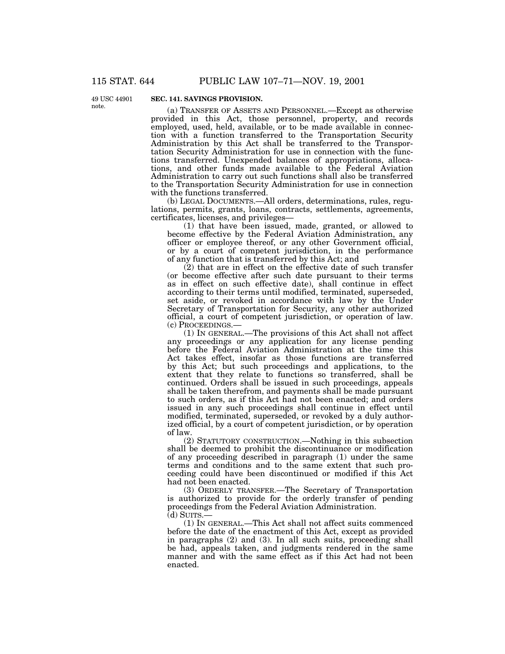49 USC 44901 note.

## **SEC. 141. SAVINGS PROVISION.**

(a) TRANSFER OF ASSETS AND PERSONNEL.—Except as otherwise provided in this Act, those personnel, property, and records employed, used, held, available, or to be made available in connection with a function transferred to the Transportation Security Administration by this Act shall be transferred to the Transportation Security Administration for use in connection with the functions transferred. Unexpended balances of appropriations, allocations, and other funds made available to the Federal Aviation Administration to carry out such functions shall also be transferred to the Transportation Security Administration for use in connection with the functions transferred.

(b) LEGAL DOCUMENTS.—All orders, determinations, rules, regulations, permits, grants, loans, contracts, settlements, agreements, certificates, licenses, and privileges—

(1) that have been issued, made, granted, or allowed to become effective by the Federal Aviation Administration, any officer or employee thereof, or any other Government official, or by a court of competent jurisdiction, in the performance of any function that is transferred by this Act; and

 $(2)$  that are in effect on the effective date of such transfer (or become effective after such date pursuant to their terms as in effect on such effective date), shall continue in effect according to their terms until modified, terminated, superseded, set aside, or revoked in accordance with law by the Under Secretary of Transportation for Security, any other authorized official, a court of competent jurisdiction, or operation of law. (c) PROCEEDINGS.—

(1) IN GENERAL.—The provisions of this Act shall not affect any proceedings or any application for any license pending before the Federal Aviation Administration at the time this Act takes effect, insofar as those functions are transferred by this Act; but such proceedings and applications, to the extent that they relate to functions so transferred, shall be continued. Orders shall be issued in such proceedings, appeals shall be taken therefrom, and payments shall be made pursuant to such orders, as if this Act had not been enacted; and orders issued in any such proceedings shall continue in effect until modified, terminated, superseded, or revoked by a duly authorized official, by a court of competent jurisdiction, or by operation of law.

(2) STATUTORY CONSTRUCTION.—Nothing in this subsection shall be deemed to prohibit the discontinuance or modification of any proceeding described in paragraph (1) under the same terms and conditions and to the same extent that such proceeding could have been discontinued or modified if this Act had not been enacted.

(3) ORDERLY TRANSFER.—The Secretary of Transportation is authorized to provide for the orderly transfer of pending proceedings from the Federal Aviation Administration. (d) SUITS.—

(1) IN GENERAL.—This Act shall not affect suits commenced before the date of the enactment of this Act, except as provided in paragraphs (2) and (3). In all such suits, proceeding shall be had, appeals taken, and judgments rendered in the same manner and with the same effect as if this Act had not been enacted.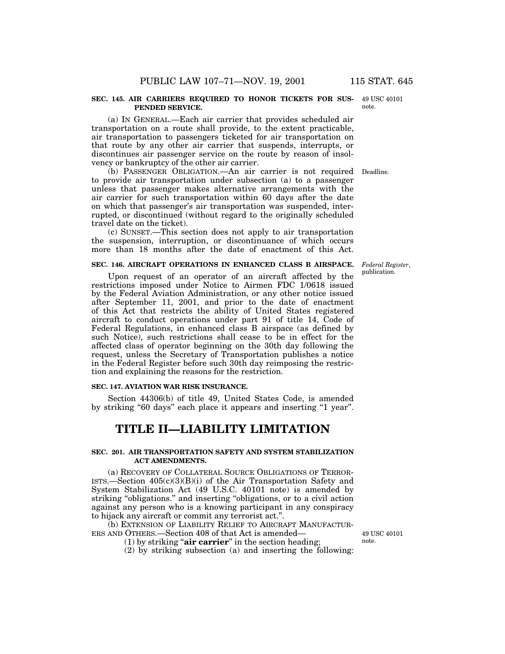#### **SEC. 145. AIR CARRIERS REQUIRED TO HONOR TICKETS FOR SUS-**49 USC 40101 **PENDED SERVICE.**

(a) IN GENERAL.—Each air carrier that provides scheduled air transportation on a route shall provide, to the extent practicable, air transportation to passengers ticketed for air transportation on that route by any other air carrier that suspends, interrupts, or discontinues air passenger service on the route by reason of insolvency or bankruptcy of the other air carrier.

(b) PASSENGER OBLIGATION.—An air carrier is not required Deadline. to provide air transportation under subsection (a) to a passenger unless that passenger makes alternative arrangements with the air carrier for such transportation within 60 days after the date on which that passenger's air transportation was suspended, interrupted, or discontinued (without regard to the originally scheduled travel date on the ticket).

(c) SUNSET.—This section does not apply to air transportation the suspension, interruption, or discontinuance of which occurs more than 18 months after the date of enactment of this Act.

## **SEC. 146. AIRCRAFT OPERATIONS IN ENHANCED CLASS B AIRSPACE.**

Upon request of an operator of an aircraft affected by the restrictions imposed under Notice to Airmen FDC 1/0618 issued by the Federal Aviation Administration, or any other notice issued after September 11, 2001, and prior to the date of enactment of this Act that restricts the ability of United States registered aircraft to conduct operations under part 91 of title 14, Code of Federal Regulations, in enhanced class B airspace (as defined by such Notice), such restrictions shall cease to be in effect for the affected class of operator beginning on the 30th day following the request, unless the Secretary of Transportation publishes a notice in the Federal Register before such 30th day reimposing the restriction and explaining the reasons for the restriction.

### **SEC. 147. AVIATION WAR RISK INSURANCE.**

Section 44306(b) of title 49, United States Code, is amended by striking "60 days" each place it appears and inserting "1 year".

# **TITLE II—LIABILITY LIMITATION**

## **SEC. 201. AIR TRANSPORTATION SAFETY AND SYSTEM STABILIZATION ACT AMENDMENTS.**

(a) RECOVERY OF COLLATERAL SOURCE OBLIGATIONS OF TERROR-ISTS.—Section 405(c)(3)(B)(i) of the Air Transportation Safety and System Stabilization Act (49 U.S.C. 40101 note) is amended by striking "obligations." and inserting "obligations, or to a civil action against any person who is a knowing participant in any conspiracy to hijack any aircraft or commit any terrorist act.''.

(b) EXTENSION OF LIABILITY RELIEF TO AIRCRAFT MANUFACTUR-ERS AND OTHERS.—Section 408 of that Act is amended—

(1) by striking ''**air carrier**'' in the section heading;

(2) by striking subsection (a) and inserting the following:

49 USC 40101 note.

*Federal Register*, publication.

note.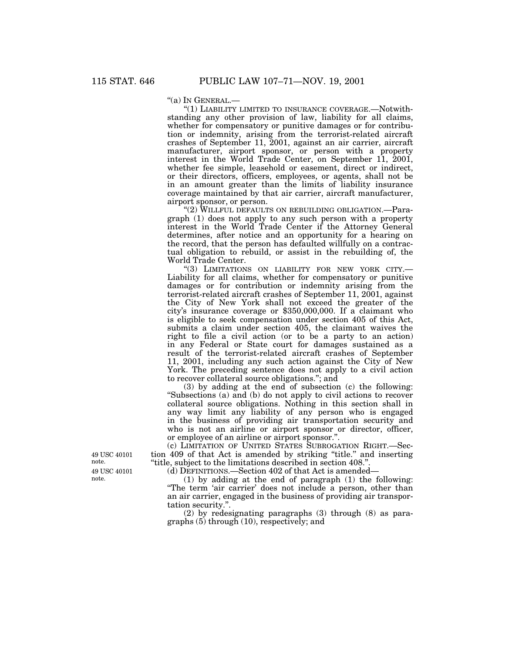''(a) IN GENERAL.—

"(1) LIABILITY LIMITED TO INSURANCE COVERAGE.—Notwithstanding any other provision of law, liability for all claims, whether for compensatory or punitive damages or for contribution or indemnity, arising from the terrorist-related aircraft crashes of September 11, 2001, against an air carrier, aircraft manufacturer, airport sponsor, or person with a property interest in the World Trade Center, on September 11, 2001, whether fee simple, leasehold or easement, direct or indirect, or their directors, officers, employees, or agents, shall not be in an amount greater than the limits of liability insurance coverage maintained by that air carrier, aircraft manufacturer, airport sponsor, or person.

"(2) WILLFUL DEFAULTS ON REBUILDING OBLIGATION.—Paragraph (1) does not apply to any such person with a property interest in the World Trade Center if the Attorney General determines, after notice and an opportunity for a hearing on the record, that the person has defaulted willfully on a contractual obligation to rebuild, or assist in the rebuilding of, the World Trade Center.

"(3) LIMITATIONS ON LIABILITY FOR NEW YORK CITY.-Liability for all claims, whether for compensatory or punitive damages or for contribution or indemnity arising from the terrorist-related aircraft crashes of September 11, 2001, against the City of New York shall not exceed the greater of the city's insurance coverage or \$350,000,000. If a claimant who is eligible to seek compensation under section 405 of this Act, submits a claim under section 405, the claimant waives the right to file a civil action (or to be a party to an action) in any Federal or State court for damages sustained as a result of the terrorist-related aircraft crashes of September 11, 2001, including any such action against the City of New York. The preceding sentence does not apply to a civil action to recover collateral source obligations.''; and

(3) by adding at the end of subsection (c) the following: ''Subsections (a) and (b) do not apply to civil actions to recover collateral source obligations. Nothing in this section shall in any way limit any liability of any person who is engaged in the business of providing air transportation security and who is not an airline or airport sponsor or director, officer, or employee of an airline or airport sponsor.''.

(c) LIMITATION OF UNITED STATES SUBROGATION RIGHT.—Section 409 of that Act is amended by striking ''title.'' and inserting ''title, subject to the limitations described in section 408.''.

(d) DEFINITIONS.—Section 402 of that Act is amended—

(1) by adding at the end of paragraph (1) the following: ''The term 'air carrier' does not include a person, other than an air carrier, engaged in the business of providing air transportation security.''.

(2) by redesignating paragraphs (3) through (8) as paragraphs (5) through (10), respectively; and

49 USC 40101 note. 49 USC 40101 note.